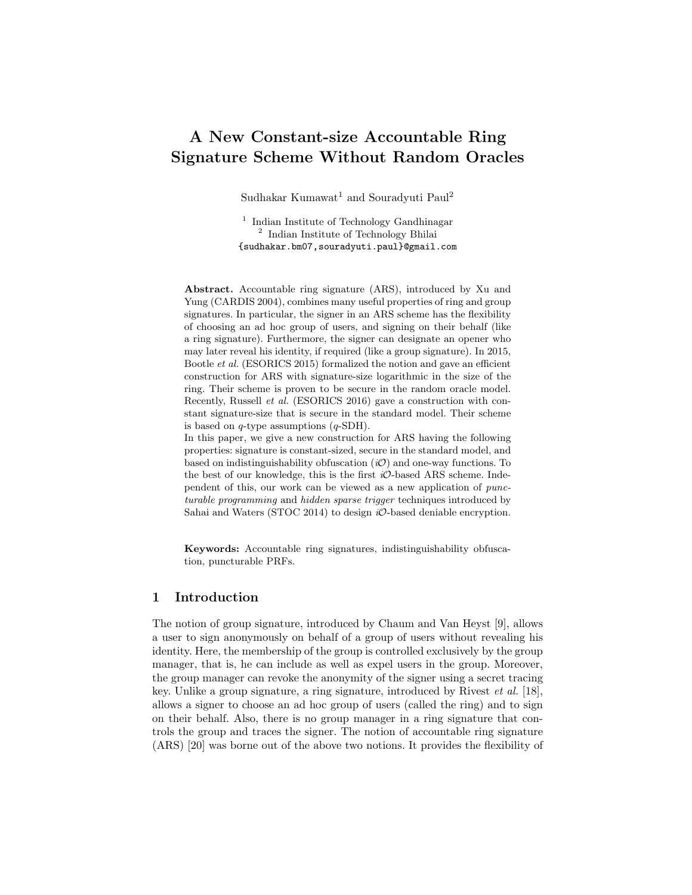# A New Constant-size Accountable Ring Signature Scheme Without Random Oracles

Sudhakar Kumawat<sup>1</sup> and Souradyuti Paul<sup>2</sup>

<sup>1</sup> Indian Institute of Technology Gandhinagar 2 Indian Institute of Technology Bhilai {sudhakar.bm07,souradyuti.paul}@gmail.com

Abstract. Accountable ring signature (ARS), introduced by Xu and Yung (CARDIS 2004), combines many useful properties of ring and group signatures. In particular, the signer in an ARS scheme has the flexibility of choosing an ad hoc group of users, and signing on their behalf (like a ring signature). Furthermore, the signer can designate an opener who may later reveal his identity, if required (like a group signature). In 2015, Bootle et al. (ESORICS 2015) formalized the notion and gave an efficient construction for ARS with signature-size logarithmic in the size of the ring. Their scheme is proven to be secure in the random oracle model. Recently, Russell et al. (ESORICS 2016) gave a construction with constant signature-size that is secure in the standard model. Their scheme is based on  $q$ -type assumptions  $(q$ -SDH).

In this paper, we give a new construction for ARS having the following properties: signature is constant-sized, secure in the standard model, and based on indistinguishability obfuscation  $(i\mathcal{O})$  and one-way functions. To the best of our knowledge, this is the first  $i\mathcal{O}$ -based ARS scheme. Independent of this, our work can be viewed as a new application of puncturable programming and hidden sparse trigger techniques introduced by Sahai and Waters (STOC 2014) to design  $i\mathcal{O}$ -based deniable encryption.

Keywords: Accountable ring signatures, indistinguishability obfuscation, puncturable PRFs.

## 1 Introduction

The notion of group signature, introduced by Chaum and Van Heyst [9], allows a user to sign anonymously on behalf of a group of users without revealing his identity. Here, the membership of the group is controlled exclusively by the group manager, that is, he can include as well as expel users in the group. Moreover, the group manager can revoke the anonymity of the signer using a secret tracing key. Unlike a group signature, a ring signature, introduced by Rivest et al. [18], allows a signer to choose an ad hoc group of users (called the ring) and to sign on their behalf. Also, there is no group manager in a ring signature that controls the group and traces the signer. The notion of accountable ring signature (ARS) [20] was borne out of the above two notions. It provides the flexibility of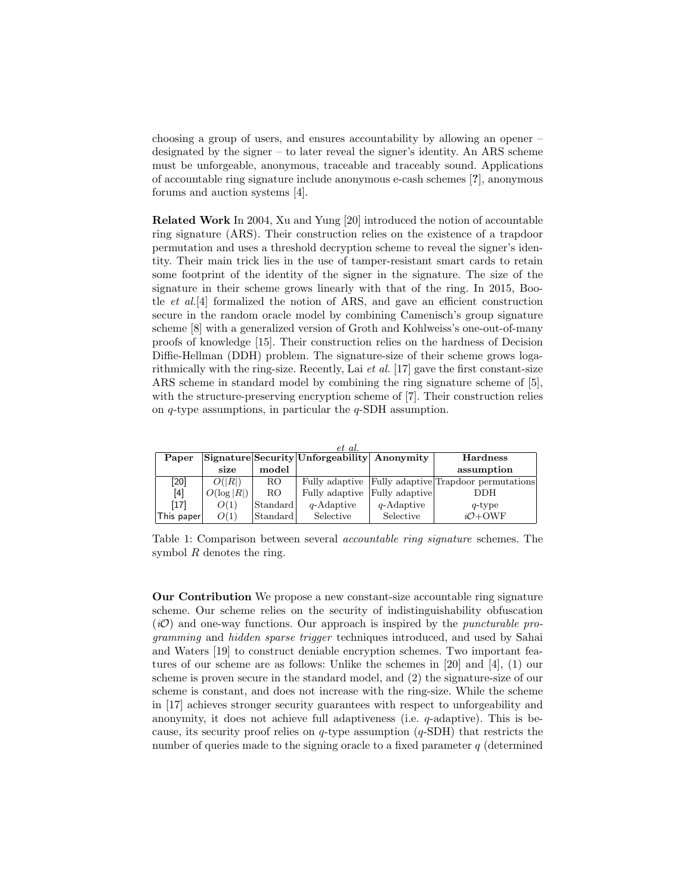choosing a group of users, and ensures accountability by allowing an opener – designated by the signer – to later reveal the signer's identity. An ARS scheme must be unforgeable, anonymous, traceable and traceably sound. Applications of accountable ring signature include anonymous e-cash schemes [?], anonymous forums and auction systems [4].

Related Work In 2004, Xu and Yung [20] introduced the notion of accountable ring signature (ARS). Their construction relies on the existence of a trapdoor permutation and uses a threshold decryption scheme to reveal the signer's identity. Their main trick lies in the use of tamper-resistant smart cards to retain some footprint of the identity of the signer in the signature. The size of the signature in their scheme grows linearly with that of the ring. In 2015, Bootle et al.[4] formalized the notion of ARS, and gave an efficient construction secure in the random oracle model by combining Camenisch's group signature scheme [8] with a generalized version of Groth and Kohlweiss's one-out-of-many proofs of knowledge [15]. Their construction relies on the hardness of Decision Diffie-Hellman (DDH) problem. The signature-size of their scheme grows logarithmically with the ring-size. Recently, Lai *et al.* [17] gave the first constant-size ARS scheme in standard model by combining the ring signature scheme of [5], with the structure-preserving encryption scheme of [7]. Their construction relies on  $q$ -type assumptions, in particular the  $q$ -SDH assumption.

| et al.     |               |          |                                             |                |                                      |
|------------|---------------|----------|---------------------------------------------|----------------|--------------------------------------|
| Paper      |               |          | Signature Security Unforgeability Anonymity |                | <b>Hardness</b>                      |
|            | size          | model    |                                             |                | assumption                           |
| $[20]$     | O( R )        | RO.      | Fully adaptive                              |                | Fully adaptive Trapdoor permutations |
| [4]        | $O(\log  R )$ | RO.      | Fully adaptive                              | Fully adaptive | DDH                                  |
| $[17]$     | O(1)          | Standard | $q$ -Adaptive                               | $q$ -Adaptive  | $q$ -type                            |
| This paper | O(1)          | Standard | Selective                                   | Selective      | $iO+OWF$                             |

Table 1: Comparison between several accountable ring signature schemes. The symbol  $R$  denotes the ring.

Our Contribution We propose a new constant-size accountable ring signature scheme. Our scheme relies on the security of indistinguishability obfuscation  $(i\mathcal{O})$  and one-way functions. Our approach is inspired by the *puncturable pro*gramming and hidden sparse trigger techniques introduced, and used by Sahai and Waters [19] to construct deniable encryption schemes. Two important features of our scheme are as follows: Unlike the schemes in [20] and [4], (1) our scheme is proven secure in the standard model, and (2) the signature-size of our scheme is constant, and does not increase with the ring-size. While the scheme in [17] achieves stronger security guarantees with respect to unforgeability and anonymity, it does not achieve full adaptiveness (i.e.  $q$ -adaptive). This is because, its security proof relies on  $q$ -type assumption  $(q$ -SDH) that restricts the number of queries made to the signing oracle to a fixed parameter  $q$  (determined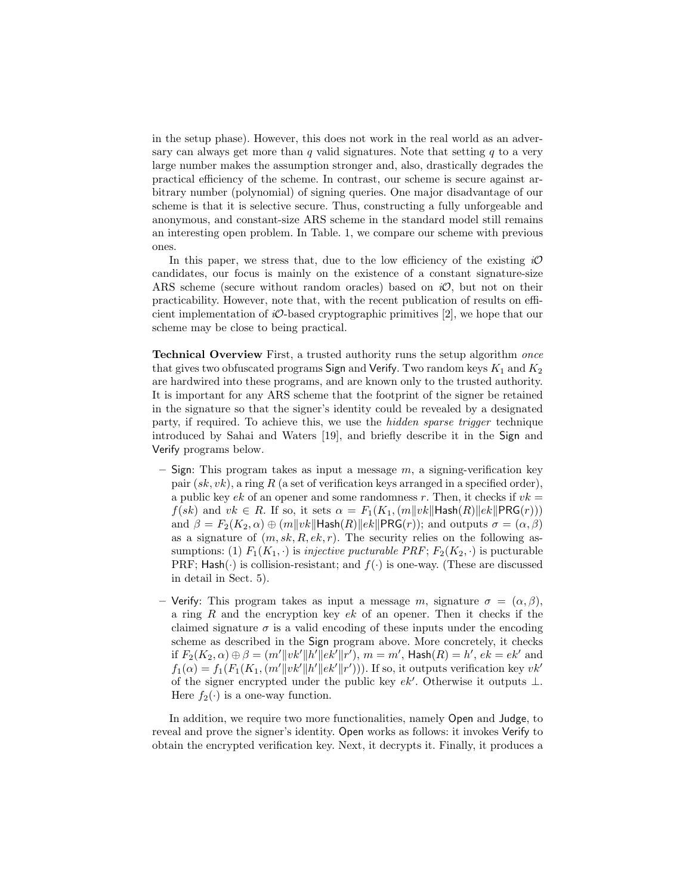in the setup phase). However, this does not work in the real world as an adversary can always get more than  $q$  valid signatures. Note that setting  $q$  to a very large number makes the assumption stronger and, also, drastically degrades the practical efficiency of the scheme. In contrast, our scheme is secure against arbitrary number (polynomial) of signing queries. One major disadvantage of our scheme is that it is selective secure. Thus, constructing a fully unforgeable and anonymous, and constant-size ARS scheme in the standard model still remains an interesting open problem. In Table. 1, we compare our scheme with previous ones.

In this paper, we stress that, due to the low efficiency of the existing  $i\mathcal{O}$ candidates, our focus is mainly on the existence of a constant signature-size ARS scheme (secure without random oracles) based on  $i\mathcal{O}$ , but not on their practicability. However, note that, with the recent publication of results on efficient implementation of  $iO$ -based cryptographic primitives [2], we hope that our scheme may be close to being practical.

Technical Overview First, a trusted authority runs the setup algorithm once that gives two obfuscated programs Sign and Verify. Two random keys  $K_1$  and  $K_2$ are hardwired into these programs, and are known only to the trusted authority. It is important for any ARS scheme that the footprint of the signer be retained in the signature so that the signer's identity could be revealed by a designated party, if required. To achieve this, we use the hidden sparse trigger technique introduced by Sahai and Waters [19], and briefly describe it in the Sign and Verify programs below.

- Sign: This program takes as input a message  $m$ , a signing-verification key pair  $(sk, vk)$ , a ring R (a set of verification keys arranged in a specified order), a public key ek of an opener and some randomness r. Then, it checks if  $vk =$  $f(sk)$  and  $vk \in R$ . If so, it sets  $\alpha = F_1(K_1, (m||vk||Hash(R)||ek||PRG(r)))$ and  $\beta = F_2(K_2, \alpha) \oplus (m||vk||\text{Hash}(R)||ek||\text{PRG}(r));$  and outputs  $\sigma = (\alpha, \beta)$ as a signature of  $(m, sk, R, ek, r)$ . The security relies on the following assumptions: (1)  $F_1(K_1, \cdot)$  is *injective pucturable PRF*;  $F_2(K_2, \cdot)$  is pucturable PRF;  $\mathsf{Hash}(\cdot)$  is collision-resistant; and  $f(\cdot)$  is one-way. (These are discussed in detail in Sect. 5).
- Verify: This program takes as input a message m, signature  $\sigma = (\alpha, \beta)$ , a ring  $R$  and the encryption key  $ek$  of an opener. Then it checks if the claimed signature  $\sigma$  is a valid encoding of these inputs under the encoding scheme as described in the Sign program above. More concretely, it checks if  $F_2(K_2, \alpha) \oplus \beta = (m'\|vk'\|h'\|ek'\|r'), m = m'$ , Hash $(R) = h'$ ,  $ek = ek'$  and  $f_1(\alpha) = f_1(F_1(K_1, (m'||vk'||h'||ek'||r')))$ . If so, it outputs verification key  $vk'$ of the signer encrypted under the public key  $ek'$ . Otherwise it outputs  $\bot$ . Here  $f_2(\cdot)$  is a one-way function.

In addition, we require two more functionalities, namely Open and Judge, to reveal and prove the signer's identity. Open works as follows: it invokes Verify to obtain the encrypted verification key. Next, it decrypts it. Finally, it produces a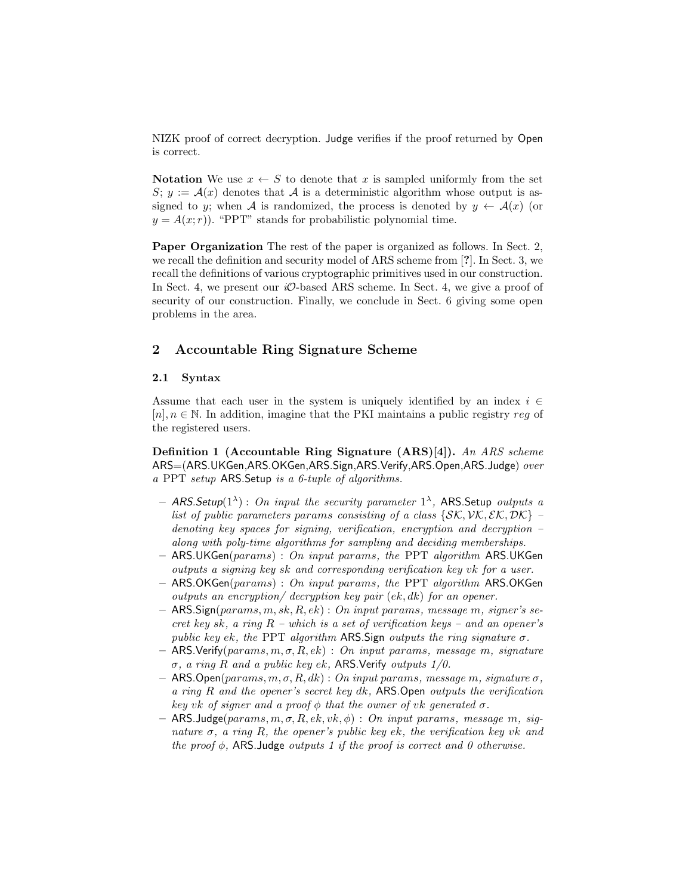NIZK proof of correct decryption. Judge verifies if the proof returned by Open is correct.

Notation We use  $x \leftarrow S$  to denote that x is sampled uniformly from the set  $S; y := \mathcal{A}(x)$  denotes that A is a deterministic algorithm whose output is assigned to y; when A is randomized, the process is denoted by  $y \leftarrow \mathcal{A}(x)$  (or  $y = A(x; r)$ . "PPT" stands for probabilistic polynomial time.

Paper Organization The rest of the paper is organized as follows. In Sect. 2, we recall the definition and security model of ARS scheme from [?]. In Sect. 3, we recall the definitions of various cryptographic primitives used in our construction. In Sect. 4, we present our  $i\mathcal{O}$ -based ARS scheme. In Sect. 4, we give a proof of security of our construction. Finally, we conclude in Sect. 6 giving some open problems in the area.

## 2 Accountable Ring Signature Scheme

#### 2.1 Syntax

Assume that each user in the system is uniquely identified by an index  $i \in$  $[n], n \in \mathbb{N}$ . In addition, imagine that the PKI maintains a public registry reg of the registered users.

Definition 1 (Accountable Ring Signature (ARS)[4]). An ARS scheme ARS=(ARS.UKGen,ARS.OKGen,ARS.Sign,ARS.Verify,ARS.Open,ARS.Judge) over a PPT setup ARS.Setup is a 6-tuple of algorithms.

- ARS. Setup(1<sup> $\lambda$ </sup>) : On input the security parameter 1<sup> $\lambda$ </sup>, ARS. Setup outputs a list of public parameters params consisting of a class  $\{SK, \mathcal{VK}, \mathcal{EK}, \mathcal{DK}\}$  – denoting key spaces for signing, verification, encryption and decryption – along with poly-time algorithms for sampling and deciding memberships.
- $-$  ARS.UKGen(params) : On input params, the PPT algorithm ARS.UKGen outputs a signing key sk and corresponding verification key vk for a user.
- $-$  ARS.OKGen(params) : On input params, the PPT algorithm ARS.OKGen outputs an encryption/ decryption key pair (ek, dk) for an opener.
- $-$  ARS. Sign(params, m, sk, R, ek) : On input params, message m, signer's secret key sk, a ring  $R$  – which is a set of verification keys – and an opener's public key ek, the PPT algorithm ARS. Sign outputs the ring signature  $\sigma$ .
- $-$  ARS. Verify(params, m,  $\sigma$ , R, ek) : On input params, message m, signature σ, a ring R and a public key ek, ARS.Verify outputs 1/0.
- ARS.Open(params, m, σ, R, dk) : On input params, message m, signature σ, a ring R and the opener's secret key dk, ARS.Open outputs the verification key vk of signer and a proof  $\phi$  that the owner of vk generated  $\sigma$ .
- ARS.Judge(params, m, σ, R, ek, vk, φ) : On input params, message m, signature  $\sigma$ , a ring R, the opener's public key ek, the verification key vk and the proof  $\phi$ , ARS. Judge outputs 1 if the proof is correct and 0 otherwise.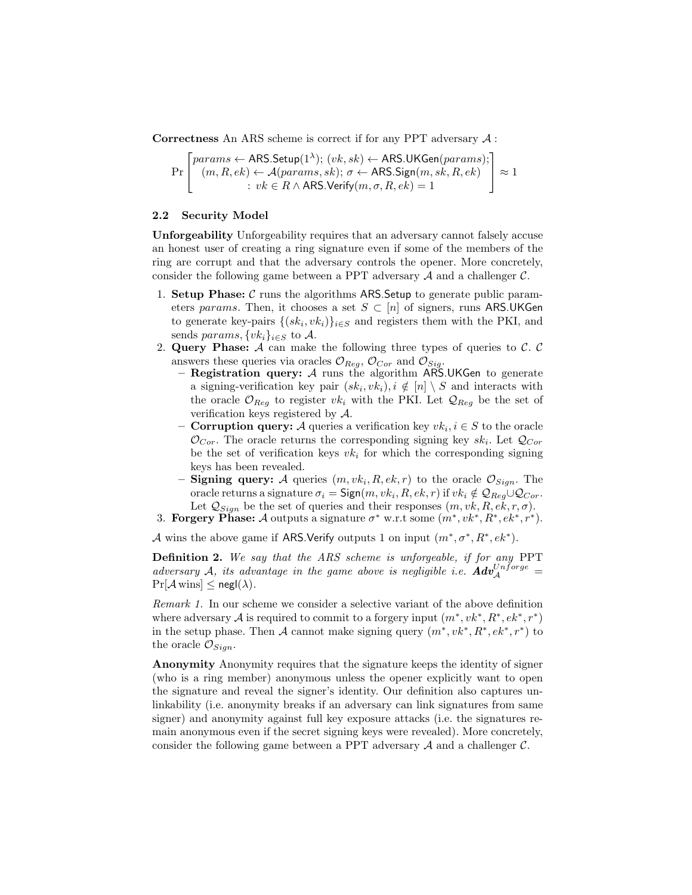Correctness An ARS scheme is correct if for any PPT adversary  $A$ :

$$
\Pr\left[\begin{matrix}params \leftarrow \mathsf{ARS}.\mathsf{Setup}(1^{\lambda});\ (vk, sk) \leftarrow \mathsf{ARS}.\mathsf{UKGen} (params);\\ (m, R, ek) \leftarrow \mathcal{A} (params, sk); \ \sigma \leftarrow \mathsf{ARS}.\mathsf{Sign}(m, sk, R, ek)\\ \vdots \ v k \in R \land \mathsf{ARS}.\mathsf{Verify}(m, \sigma, R, ek) = 1 \end{matrix}\right] \approx 1\right.
$$

## 2.2 Security Model

Unforgeability Unforgeability requires that an adversary cannot falsely accuse an honest user of creating a ring signature even if some of the members of the ring are corrupt and that the adversary controls the opener. More concretely, consider the following game between a PPT adversary  $A$  and a challenger  $C$ .

- 1. Setup Phase:  $\mathcal C$  runs the algorithms ARS. Setup to generate public parameters params. Then, it chooses a set  $S \subset [n]$  of signers, runs ARS.UKGen to generate key-pairs  $\{(sk_i, vk_i)\}_{i\in S}$  and registers them with the PKI, and sends params,  $\{vk_i\}_{i\in S}$  to A.
- 2. Query Phase:  $A$  can make the following three types of queries to  $C$ .  $C$ answers these queries via oracles  $\mathcal{O}_{Req}$ ,  $\mathcal{O}_{Cor}$  and  $\mathcal{O}_{Sig}$ .
	- Registration query: A runs the algorithm ARS.UKGen to generate a signing-verification key pair  $(s k_i, v k_i), i \notin [n] \setminus S$  and interacts with the oracle  $\mathcal{O}_{Reg}$  to register  $vk_i$  with the PKI. Let  $\mathcal{Q}_{Reg}$  be the set of verification keys registered by  $A$ .
	- **Corruption query:** A queries a verification key  $vk_i, i \in S$  to the oracle  $\mathcal{O}_{Cor}$ . The oracle returns the corresponding signing key  $sk_i$ . Let  $\mathcal{Q}_{Cor}$ be the set of verification keys  $vk<sub>i</sub>$  for which the corresponding signing keys has been revealed.
	- Signing query: A queries  $(m, vk_i, R, ek, r)$  to the oracle  $\mathcal{O}_{Sign}$ . The oracle returns a signature  $\sigma_i = \text{Sign}(m, vk_i, R, ek, r)$  if  $vk_i \notin \mathcal{Q}_{Reg} \cup \mathcal{Q}_{Cor}$ . Let  $Q_{Sign}$  be the set of queries and their responses  $(m, vk, R, ek, r, \sigma)$ .

3. Forgery Phase: A outputs a signature  $\sigma^*$  w.r.t some  $(m^*, v k^*, R^*, e k^*, r^*)$ .

A wins the above game if ARS. Verify outputs 1 on input  $(m^*, \sigma^*, R^*, e k^*)$ .

Definition 2. We say that the ARS scheme is unforgeable, if for any PPT adversary A, its advantage in the game above is negligible i.e.  $\mathbf{Adv}_{\mathcal{A}}^{Unforce} =$  $Pr[\mathcal{A} \text{ wins}] \leq negl(\lambda).$ 

Remark 1. In our scheme we consider a selective variant of the above definition where adversary A is required to commit to a forgery input  $(m^*, vk^*, R^*, ek^*, r^*)$ in the setup phase. Then A cannot make signing query  $(m^*, vk^*, R^*, ek^*, r^*)$  to the oracle  $\mathcal{O}_{Sign}$ .

Anonymity Anonymity requires that the signature keeps the identity of signer (who is a ring member) anonymous unless the opener explicitly want to open the signature and reveal the signer's identity. Our definition also captures unlinkability (i.e. anonymity breaks if an adversary can link signatures from same signer) and anonymity against full key exposure attacks (i.e. the signatures remain anonymous even if the secret signing keys were revealed). More concretely, consider the following game between a PPT adversary  $A$  and a challenger  $C$ .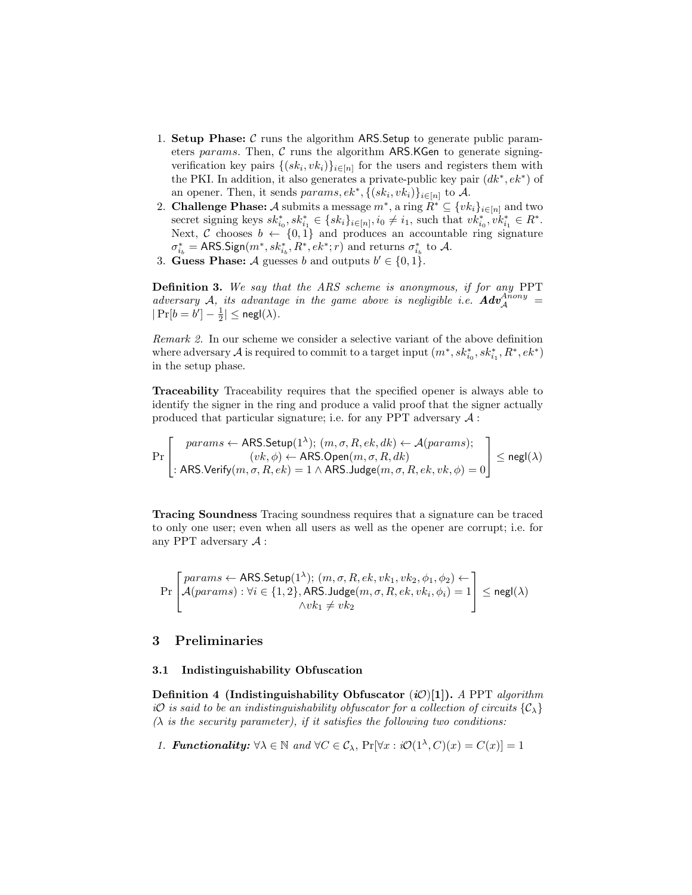- 1. Setup Phase:  $\mathcal C$  runs the algorithm ARS. Setup to generate public parameters params. Then,  $C$  runs the algorithm ARS.KGen to generate signingverification key pairs  $\{(sk_i, vk_i)\}_{i\in[n]}$  for the users and registers them with the PKI. In addition, it also generates a private-public key pair  $(dk^*, ek^*)$  of an opener. Then, it sends  $params, ek^*, \{(sk_i, vk_i)\}_{i \in [n]}$  to A.
- 2. Challenge Phase: A submits a message  $m^*$ , a ring  $R^* \subseteq \{vk_i\}_{i \in [n]}$  and two secret signing keys  $sk_{i_0}^*, sk_{i_1}^* \in \{sk_i\}_{i \in [n]}, i_0 \neq i_1$ , such that  $vk_{i_0}^*, vk_{i_1}^* \in R^*$ . Next, C chooses  $b \leftarrow \{0,1\}$  and produces an accountable ring signature  $\sigma_{i_b}^* = \text{ARS.Sign}(m^*, sk_{i_b}^*, R^*, ek^*; r)$  and returns  $\sigma_{i_b}^*$  to A.
- 3. Guess Phase: A guesses b and outputs  $b' \in \{0, 1\}$ .

Definition 3. We say that the ARS scheme is anonymous, if for any PPT adversary A, its advantage in the game above is negligible i.e.  $Adv^{Anony}_A =$  $|\Pr[b=b'] - \frac{1}{2}| \leq \mathsf{negl}(\lambda).$ 

Remark 2. In our scheme we consider a selective variant of the above definition where adversary  $\mathcal A$  is required to commit to a target input  $(m^*,sk^*_{i_0},sk^*_{i_1},R^*,ek^*)$ in the setup phase.

Traceability Traceability requires that the specified opener is always able to identify the signer in the ring and produce a valid proof that the signer actually produced that particular signature; i.e. for any PPT adversary  $A$ :

$$
\Pr\left[\begin{matrix}params \leftarrow \mathsf{ARS}\mathsf{.Setup}(1^{\lambda}); (m, \sigma, R, ek, dk) \leftarrow \mathcal{A}(params); \\ (vk, \phi) \leftarrow \mathsf{ARS}\mathsf{.Open}(m, \sigma, R, dk) \\ \mathsf{.ARS}\mathsf{.Verify}(m, \sigma, R, ek) = 1 \land \mathsf{ARS}\mathsf{.Judge}(m, \sigma, R, ek, vk, \phi) = 0 \end{matrix}\right] \leq {\sf negl}(\lambda)
$$

Tracing Soundness Tracing soundness requires that a signature can be traced to only one user; even when all users as well as the opener are corrupt; i.e. for any PPT adversary  $A$ :

$$
\Pr\left[\begin{matrix}params \leftarrow \mathsf{ARS}.\mathsf{Setup}(1^{\lambda}); (m, \sigma, R, ek, vk_1, vk_2, \phi_1, \phi_2) \leftarrow \\ \mathcal{A}(params): \forall i \in \{1, 2\}, \mathsf{ARS}.\mathsf{Judge}(m, \sigma, R, ek, vk_i, \phi_i) = 1 \\ \wedge vk_1 \neq vk_2 \end{matrix}\right] \leq \mathsf{negl}(\lambda)
$$

## 3 Preliminaries

## 3.1 Indistinguishability Obfuscation

Definition 4 (Indistinguishability Obfuscator  $(i\mathcal{O})[1]$ ). A PPT algorithm iO is said to be an indistinguishability obfuscator for a collection of circuits  $\{\mathcal{C}_\lambda\}$  $(\lambda$  is the security parameter), if it satisfies the following two conditions:

1. **Functionality:** 
$$
\forall \lambda \in \mathbb{N}
$$
 and  $\forall C \in C_{\lambda}$ ,  $Pr[\forall x : i\mathcal{O}(1^{\lambda}, C)(x) = C(x)] = 1$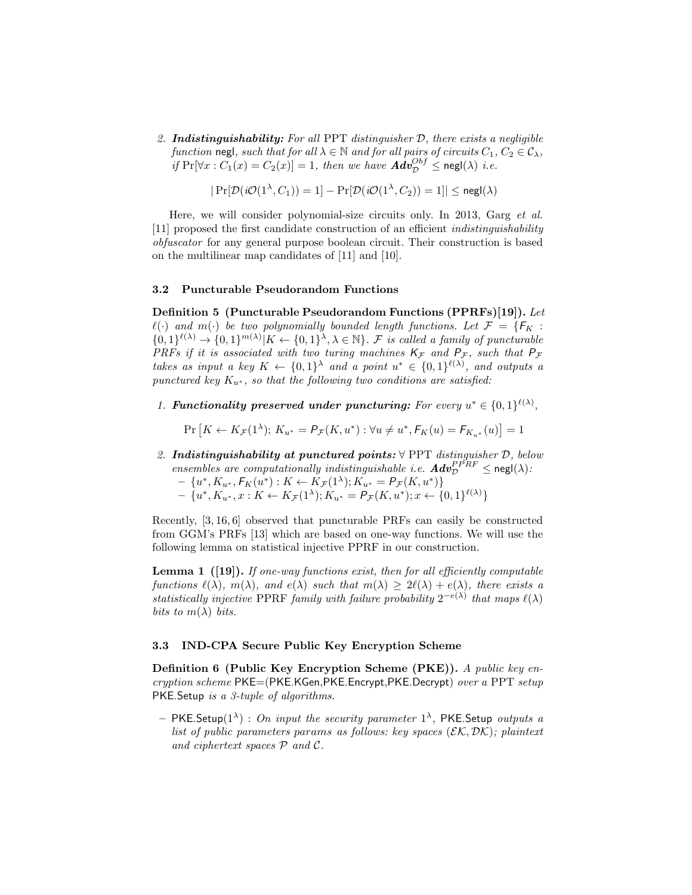2. **Indistinguishability:** For all PPT distinguisher  $D$ , there exists a negligible function negl, such that for all  $\lambda \in \mathbb{N}$  and for all pairs of circuits  $C_1, C_2 \in \mathcal{C}_{\lambda}$ , if  $\Pr[\forall x : C_1(x) = C_2(x)] = 1$ , then we have  $\mathbf{Adv}_{\mathcal{D}}^{Obf} \le \mathsf{negl}(\lambda)$  i.e.

$$
|\Pr[\mathcal{D}(\mathit{i}\mathcal{O}(1^\lambda,C_1))=1]-\Pr[\mathcal{D}(\mathit{i}\mathcal{O}(1^\lambda,C_2))=1]|\leq \mathsf{negl}(\lambda)
$$

Here, we will consider polynomial-size circuits only. In 2013, Garg et al. [11] proposed the first candidate construction of an efficient indistinguishability obfuscator for any general purpose boolean circuit. Their construction is based on the multilinear map candidates of [11] and [10].

#### 3.2 Puncturable Pseudorandom Functions

Definition 5 (Puncturable Pseudorandom Functions (PPRFs)[19]). Let  $\ell(\cdot)$  and  $m(\cdot)$  be two polynomially bounded length functions. Let  $\mathcal{F} = \{F_K :$  $\{0,1\}^{\ell(\lambda)} \to \{0,1\}^{m(\lambda)} | K \leftarrow \{0,1\}^{\lambda}, \lambda \in \mathbb{N} \}$ . F is called a family of puncturable PRFs if it is associated with two turing machines  $K_{\mathcal{F}}$  and  $P_{\mathcal{F}}$ , such that  $P_{\mathcal{F}}$ takes as input a key  $K \leftarrow \{0,1\}^{\lambda}$  and a point  $u^* \in \{0,1\}^{\ell(\lambda)}$ , and outputs a punctured key  $K_{u^*}$ , so that the following two conditions are satisfied:

1. Functionality preserved under puncturing: For every  $u^* \in \{0,1\}^{\ell(\lambda)}$ ,

$$
\Pr\left[K \leftarrow K_{\mathcal{F}}(1^{\lambda}); K_{u^*} = P_{\mathcal{F}}(K, u^*): \forall u \neq u^*, F_K(u) = F_{K_{u^*}}(u)\right] = 1
$$

- 2. Indistinguishability at punctured points:  $\forall$  PPT distinguisher  $D$ , below ensembles are computationally indistinguishable i.e.  $\mathbf{Adv}_{\mathcal{D}}^{PPRF} \le \mathsf{negl}(\lambda)$ :
	- $\{u^*, K_{u^*}, F_K(u^*) : K \leftarrow K_{\mathcal{F}}(1^{\lambda}); K_{u^*} = P_{\mathcal{F}}(K, u^*)\}$  $- \{u^*, K_{u^*}, x : K \leftarrow K_{\mathcal{F}}(1^{\lambda}); K_{u^*} = P_{\mathcal{F}}(K, u^*); x \leftarrow \{0, 1\}^{\ell(\lambda)}\}$

Recently, [3, 16, 6] observed that puncturable PRFs can easily be constructed from GGM's PRFs [13] which are based on one-way functions. We will use the following lemma on statistical injective PPRF in our construction.

**Lemma 1** ([19]). If one-way functions exist, then for all efficiently computable functions  $\ell(\lambda)$ ,  $m(\lambda)$ , and  $e(\lambda)$  such that  $m(\lambda) \geq 2\ell(\lambda) + e(\lambda)$ , there exists a statistically injective PPRF family with failure probability  $2^{-e(\lambda)}$  that maps  $\ell(\lambda)$ bits to  $m(\lambda)$  bits.

#### 3.3 IND-CPA Secure Public Key Encryption Scheme

Definition 6 (Public Key Encryption Scheme (PKE)). A public key encryption scheme PKE=(PKE.KGen,PKE.Encrypt,PKE.Decrypt) over a PPT setup PKE.Setup is a 3-tuple of algorithms.

- PKE.Setup(1<sup> $\lambda$ </sup>) : On input the security parameter 1<sup> $\lambda$ </sup>, PKE.Setup outputs a list of public parameters params as follows: key spaces  $(\mathcal{EK}, \mathcal{DK})$ ; plaintext and ciphertext spaces  $P$  and  $C$ .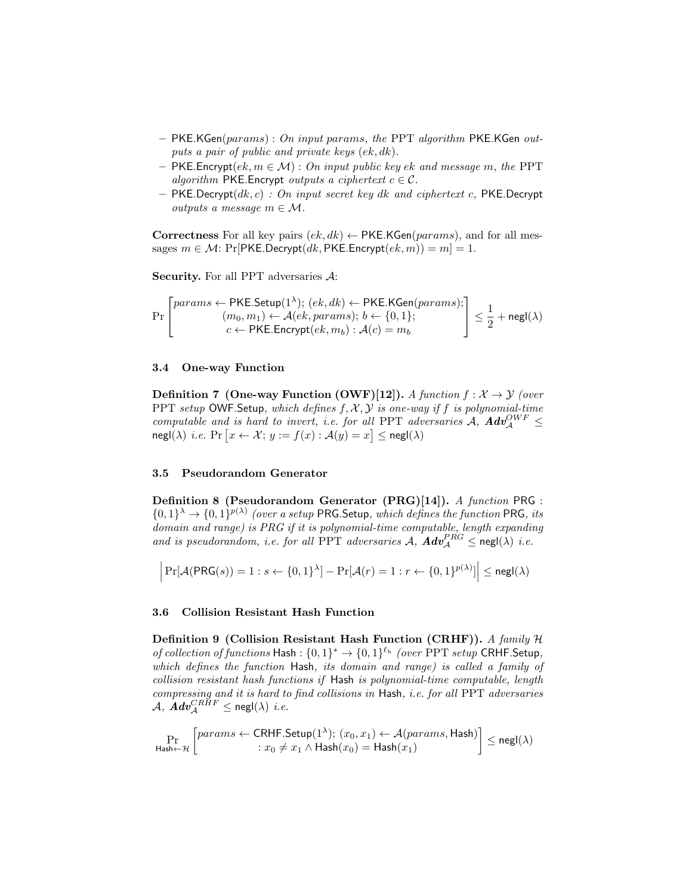- $-$  PKE.KGen(params) : On input params, the PPT algorithm PKE.KGen outputs a pair of public and private keys (ek, dk).
- $-$  PKE. Encrypt $(ek, m \in \mathcal{M})$ : On input public key ek and message m, the PPT algorithm PKE.Encrypt outputs a ciphertext  $c \in \mathcal{C}$ .
- PKE.Decrypt( $dk, c$ ) : On input secret key dk and ciphertext c, PKE.Decrypt *outputs a message*  $m \in \mathcal{M}$ .

Correctness For all key pairs  $(ek, dk) \leftarrow PKE.KGen(params)$ , and for all messages  $m \in \mathcal{M}$ : Pr[PKE.Decrypt(dk, PKE.Encrypt(ek, m)) = m] = 1.

Security. For all PPT adversaries A:

$$
\Pr\left[\begin{matrix}params \leftarrow \text{PKE}.\text{Setup}(1^{\lambda}); (ek, dk) \leftarrow \text{PKE}.\text{KGen}(params); \\ (m_0, m_1) \leftarrow \mathcal{A}(ek,params); b \leftarrow \{0, 1\}; \\ c \leftarrow \text{PKE}.\text{Energy}(ek, m_b): \mathcal{A}(c) = m_b \end{matrix}\right] \leq \frac{1}{2} + \text{negl}(\lambda)
$$

## 3.4 One-way Function

 $\mathbf{r}$ 

**Definition 7 (One-way Function (OWF)[12]).** A function  $f : \mathcal{X} \to \mathcal{Y}$  (over PPT setup OWF. Setup, which defines  $f, \mathcal{X}, \mathcal{Y}$  is one-way if f is polynomial-time computable and is hard to invert, i.e. for all PPT adversaries  $A$ ,  $Adv^{OWF}_A \leq$  $\mathsf{negl}(\lambda) \text{ i.e. } \Pr\left[x \leftarrow \mathcal{X}; y := f(x) : \mathcal{A}(y) = x\right] \leq \mathsf{negl}(\lambda)$ 

## 3.5 Pseudorandom Generator

Definition 8 (Pseudorandom Generator (PRG)[14]). A function PRG :  $\{0,1\}^{\lambda} \to \{0,1\}^{p(\lambda)}$  (over a setup PRG. Setup, which defines the function PRG, its domain and range) is PRG if it is polynomial-time computable, length expanding and is pseudorandom, i.e. for all PPT adversaries A,  $\boldsymbol{Adv}_{\mathcal{A}}^{PRG} \le \mathsf{negl}(\lambda)$  i.e.

$$
\left| \Pr[\mathcal{A}(\text{PRG}(s)) = 1 : s \leftarrow \{0, 1\}^{\lambda}] - \Pr[\mathcal{A}(r) = 1 : r \leftarrow \{0, 1\}^{p(\lambda)}] \right| \le \mathsf{negl}(\lambda)
$$

## 3.6 Collision Resistant Hash Function

Definition 9 (Collision Resistant Hash Function (CRHF)). A family  $H$ of collection of functions Hash :  $\{0,1\}^* \rightarrow \{0,1\}^{\ell_h}$  (over PPT setup CRHF. Setup, which defines the function Hash, its domain and range) is called a family of collision resistant hash functions if Hash is polynomial-time computable, length compressing and it is hard to find collisions in Hash, i.e. for all PPT adversaries  $\mathcal{A}, \; \pmb{Adv}_{\mathcal{A}}^{CRHF} \leq \mathsf{negl}(\lambda) \, \, \textit{i.e.}$ 

$$
\Pr_{\mathsf{Hash} \leftarrow \mathcal{H}}\left[\mathit{params} \leftarrow \mathsf{CRHF}.\mathsf{Setup}(1^{\lambda});\ (x_0,x_1) \leftarrow \mathcal{A}(\mathit{params},\mathsf{Hash})\\ \hspace{1cm}:\ x_0 \neq x_1 \wedge \mathsf{Hash}(x_0) = \mathsf{Hash}(x_1) \right] \leq \mathsf{negl}(\lambda)
$$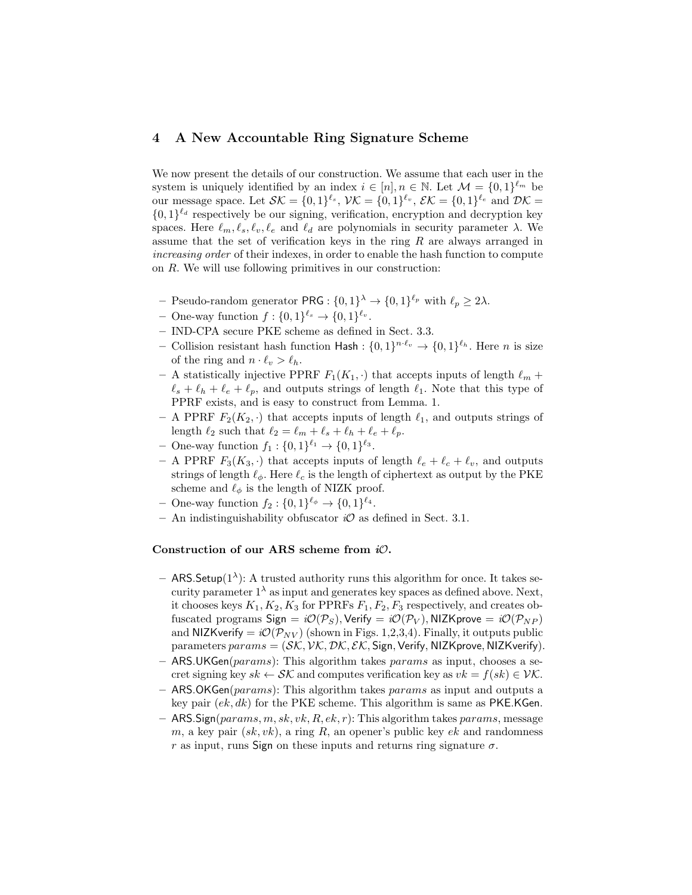## 4 A New Accountable Ring Signature Scheme

We now present the details of our construction. We assume that each user in the system is uniquely identified by an index  $i \in [n], n \in \mathbb{N}$ . Let  $\mathcal{M} = \{0,1\}^{\ell_m}$  be our message space. Let  $\mathcal{SK} = \{0,1\}^{\ell_s}, \mathcal{VK} = \{0,1\}^{\ell_v}, \mathcal{EK} = \{0,1\}^{\ell_e}$  and  $\mathcal{DK} =$  $\{0,1\}^{\ell_d}$  respectively be our signing, verification, encryption and decryption key spaces. Here  $\ell_m, \ell_s, \ell_v, \ell_e$  and  $\ell_d$  are polynomials in security parameter  $\lambda$ . We assume that the set of verification keys in the ring  $R$  are always arranged in increasing order of their indexes, in order to enable the hash function to compute on R. We will use following primitives in our construction:

- Pseudo-random generator PRG :  $\{0,1\}^{\lambda} \rightarrow \{0,1\}^{\ell_p}$  with  $\ell_p \geq 2\lambda$ .
- One-way function  $f: \{0,1\}^{\ell_s} \to \{0,1\}^{\ell_v}$ .
- IND-CPA secure PKE scheme as defined in Sect. 3.3.
- Collision resistant hash function Hash :  $\{0,1\}^{n \cdot \ell_v} \to \{0,1\}^{\ell_h}$ . Here *n* is size of the ring and  $n \cdot \ell_v > \ell_h$ .
- A statistically injective PPRF  $F_1(K_1, \cdot)$  that accepts inputs of length  $\ell_m$  +  $\ell_s + \ell_h + \ell_e + \ell_p$ , and outputs strings of length  $\ell_1$ . Note that this type of PPRF exists, and is easy to construct from Lemma. 1.
- A PPRF  $F_2(K_2, \cdot)$  that accepts inputs of length  $\ell_1$ , and outputs strings of length  $\ell_2$  such that  $\ell_2 = \ell_m + \ell_s + \ell_h + \ell_e + \ell_p$ .
- One-way function  $f_1: \{0,1\}^{\ell_1} \to \{0,1\}^{\ell_3}$ .
- A PPRF  $F_3(K_3, \cdot)$  that accepts inputs of length  $\ell_e + \ell_c + \ell_v$ , and outputs strings of length  $\ell_{\phi}$ . Here  $\ell_c$  is the length of ciphertext as output by the PKE scheme and  $\ell_{\phi}$  is the length of NIZK proof.
- One-way function  $f_2: \{0,1\}^{\ell_{\phi}} \to \{0,1\}^{\ell_4}.$
- An indistinguishability obfuscator  $i\mathcal{O}$  as defined in Sect. 3.1.

#### Construction of our ARS scheme from  $i\mathcal{O}$ .

- $-$  ARS. Setup(1<sup> $\lambda$ </sup>): A trusted authority runs this algorithm for once. It takes security parameter  $1^{\lambda}$  as input and generates key spaces as defined above. Next, it chooses keys  $K_1, K_2, K_3$  for PPRFs  $F_1, F_2, F_3$  respectively, and creates obfuscated programs Sign =  $i\mathcal{O}(\mathcal{P}_S)$ , Verify =  $i\mathcal{O}(\mathcal{P}_V)$ , NIZKprove =  $i\mathcal{O}(\mathcal{P}_{NP})$ and NIZKverify =  $i\mathcal{O}(\mathcal{P}_{NV})$  (shown in Figs. 1,2,3,4). Finally, it outputs public parameters  $params = (SK, VK, DK, \mathcal{EK},$  Sign, Verify, NIZKprove, NIZKverify).
- $-$  ARS.UKGen(*params*): This algorithm takes *params* as input, chooses a secret signing key  $sk \leftarrow \mathcal{SK}$  and computes verification key as  $vk = f(sk) \in \mathcal{VK}$ .
- $-$  ARS.OKGen(params): This algorithm takes params as input and outputs a key pair  $(ek, dk)$  for the PKE scheme. This algorithm is same as PKE.KGen.
- $-$  ARS. Sign(params, m, sk, vk, R, ek, r): This algorithm takes params, message m, a key pair  $(sk, vk)$ , a ring R, an opener's public key  $ek$  and randomness r as input, runs Sign on these inputs and returns ring signature  $\sigma$ .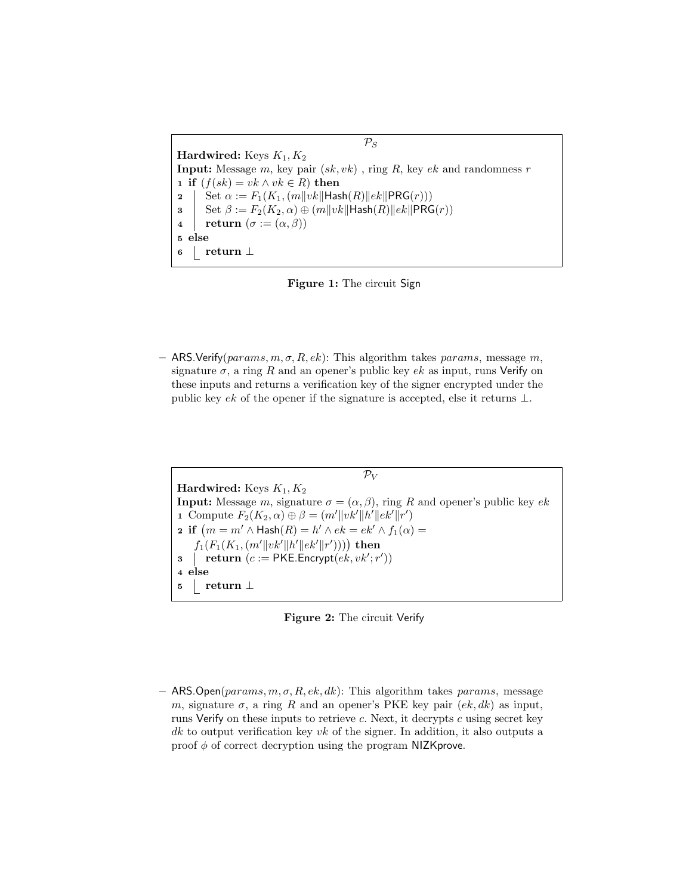Hardwired: Keys  $K_1, K_2$ **Input:** Message m, key pair  $(sk, vk)$ , ring R, key ek and randomness r 1 if  $(f(sk) = vk \wedge vk \in R)$  then 2 | Set  $\alpha := F_1(K_1,(m||vk||\text{Hash}(R)||ek||\text{PRG}(r)))$ 3 Set  $\beta := F_2(K_2, \alpha) \oplus (m||vk||\text{Hash}(R)||ek||\text{PRG}(r))$ 4 | return  $(\sigma := (\alpha, \beta))$ 5 else <sup>6</sup> return ⊥



– ARS. Verify(params, m, σ, R, ek): This algorithm takes params, message m, signature  $\sigma$ , a ring R and an opener's public key ek as input, runs Verify on these inputs and returns a verification key of the signer encrypted under the public key ek of the opener if the signature is accepted, else it returns  $\perp$ .

 $\mathcal{P}_V$ Hardwired: Keys  $K_1, K_2$ **Input:** Message m, signature  $\sigma = (\alpha, \beta)$ , ring R and opener's public key ek 1 Compute  $F_2(K_2, \alpha) \oplus \beta = (m' ||vk'||h'||ek'||r')$ **2** if  $(m = m' \land \textsf{Hash}(R) = h' \land ek = ek' \land f_1(\alpha) =$  $f_1(F_1(K_1,(m'\|vk'\|h'\|ek'\|r'))))$  then 3 | return  $(c := \text{PKE}$ . Encrypt $(e\vec{k}, v\vec{k}'; r'))$ 4 else <sup>5</sup> return ⊥



– ARS. Open( $params, m, \sigma, R, ek, dk$ ): This algorithm takes params, message m, signature  $\sigma$ , a ring R and an opener's PKE key pair  $(ek, dk)$  as input, runs Verify on these inputs to retrieve c. Next, it decrypts c using secret key dk to output verification key vk of the signer. In addition, it also outputs a proof  $\phi$  of correct decryption using the program NIZK prove.

 $\mathcal{P}_S$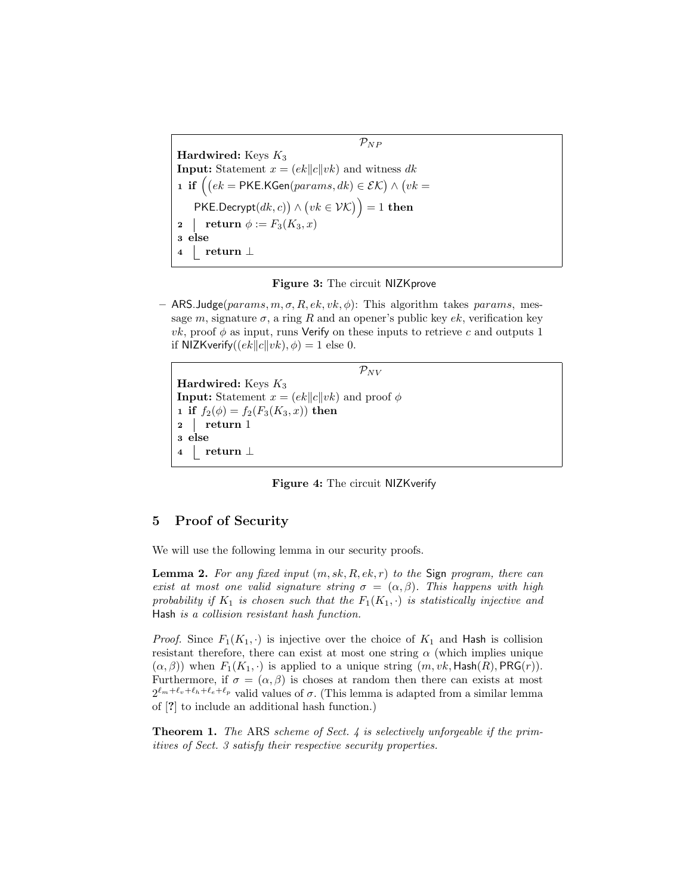$\mathcal{P}_{NP}$ Hardwired: Keys  $K_3$ **Input:** Statement  $x = (ek||c||vk)$  and witness dk **1 if**  $(ek = \text{PKE.KGen}(params, dk) \in \mathcal{EK}) \wedge (vk =$  $PKE.$ Decrypt $(dk, c)$ )  $\wedge$   $(vk \in \mathcal{VK})$ ) = 1 then 2 | return  $\phi := F_3(K_3, x)$ 3 else <sup>4</sup> return ⊥



 $-$  ARS. Judge( $params, m, \sigma, R, ek, vk, \phi$ ): This algorithm takes params, message m, signature  $\sigma$ , a ring R and an opener's public key ek, verification key *vk*, proof  $\phi$  as input, runs Verify on these inputs to retrieve c and outputs 1 if NIZKverify $((ek||c||vk), \phi) = 1$  else 0.

 $\mathcal{P}_{NV}$ Hardwired: Keys  $K_3$ **Input:** Statement  $x = (ek||c||vk)$  and proof  $\phi$ 1 if  $f_2(\phi) = f_2(F_3(K_3, x))$  then  $2 \mid \text{return } 1$ 3 else <sup>4</sup> return ⊥

Figure 4: The circuit NIZKverify

## 5 Proof of Security

We will use the following lemma in our security proofs.

**Lemma 2.** For any fixed input  $(m, sk, R, ek, r)$  to the Sign program, there can exist at most one valid signature string  $\sigma = (\alpha, \beta)$ . This happens with high probability if  $K_1$  is chosen such that the  $F_1(K_1, \cdot)$  is statistically injective and Hash is a collision resistant hash function.

*Proof.* Since  $F_1(K_1, \cdot)$  is injective over the choice of  $K_1$  and Hash is collision resistant therefore, there can exist at most one string  $\alpha$  (which implies unique  $(\alpha, \beta)$ ) when  $F_1(K_1, \cdot)$  is applied to a unique string  $(m, vk, \text{Hash}(R), \text{PRG}(r)).$ Furthermore, if  $\sigma = (\alpha, \beta)$  is choses at random then there can exists at most  $2^{\ell_m+\ell_v+\ell_h+\ell_e+\ell_p}$  valid values of  $\sigma$ . (This lemma is adapted from a similar lemma of [?] to include an additional hash function.)

**Theorem 1.** The ARS scheme of Sect. 4 is selectively unforgeable if the primitives of Sect. 3 satisfy their respective security properties.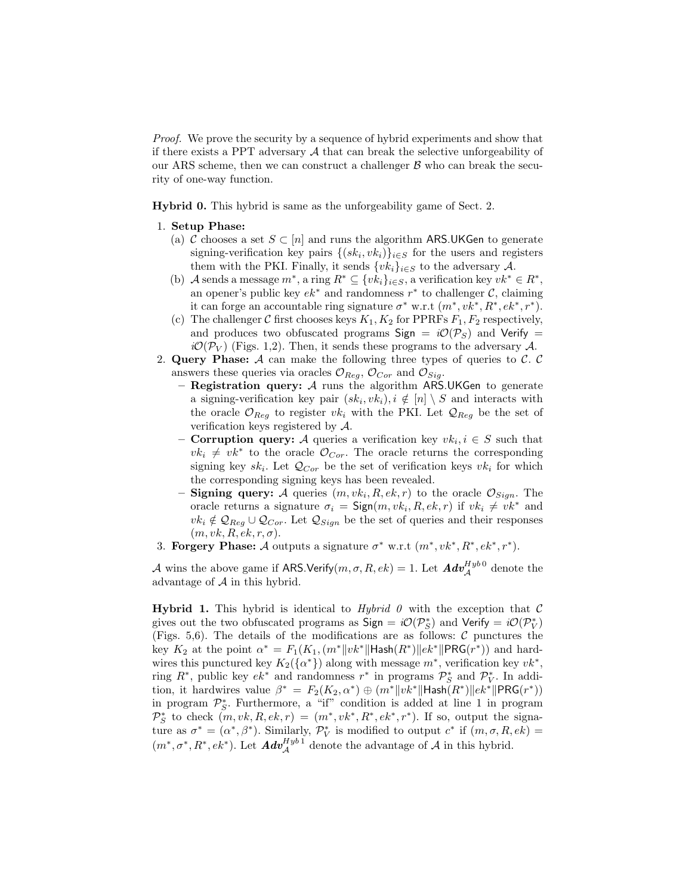Proof. We prove the security by a sequence of hybrid experiments and show that if there exists a PPT adversary  $A$  that can break the selective unforgeability of our ARS scheme, then we can construct a challenger  $\beta$  who can break the security of one-way function.

Hybrid 0. This hybrid is same as the unforgeability game of Sect. 2.

- 1. Setup Phase:
	- (a) C chooses a set  $S \subset [n]$  and runs the algorithm ARS.UKGen to generate signing-verification key pairs  $\{(sk_i, vk_i)\}_{i\in S}$  for the users and registers them with the PKI. Finally, it sends  $\{vk_i\}_{i\in S}$  to the adversary A.
	- (b) A sends a message  $m^*$ , a ring  $R^* \subseteq \{vk_i\}_{i \in S}$ , a verification key  $vk^* \in R^*$ , an opener's public key  $ek^*$  and randomness  $r^*$  to challenger  $\mathcal{C}$ , claiming it can forge an accountable ring signature  $\sigma^*$  w.r.t  $(m^*, vk^*, R^*, ek^*, r^*)$ .
	- (c) The challenger C first chooses keys  $K_1, K_2$  for PPRFs  $F_1, F_2$  respectively, and produces two obfuscated programs Sign =  $i\mathcal{O}(\mathcal{P}_S)$  and Verify =  $i\mathcal{O}(\mathcal{P}_V)$  (Figs. 1,2). Then, it sends these programs to the adversary A.
- 2. Query Phase:  $A$  can make the following three types of queries to  $C$ .  $C$ answers these queries via oracles  $\mathcal{O}_{Reg}$ ,  $\mathcal{O}_{Cor}$  and  $\mathcal{O}_{Sig}$ .
	- Registration query:  $A$  runs the algorithm ARS.UKGen to generate a signing-verification key pair  $(sk_i, vk_i), i \notin [n] \setminus S$  and interacts with the oracle  $\mathcal{O}_{Reg}$  to register  $vk_i$  with the PKI. Let  $\mathcal{Q}_{Reg}$  be the set of verification keys registered by  $A$ .
	- **Corruption query:** A queries a verification key  $vk_i, i \in S$  such that  $vk_i \neq vk^*$  to the oracle  $\mathcal{O}_{Cor}$ . The oracle returns the corresponding signing key  $sk_i$ . Let  $\mathcal{Q}_{Cor}$  be the set of verification keys  $vk_i$  for which the corresponding signing keys has been revealed.
	- Signing query: A queries  $(m, vk_i, R, ek, r)$  to the oracle  $\mathcal{O}_{Sign}$ . The oracle returns a signature  $\sigma_i = \mathsf{Sign}(m, v k_i, R, e k, r)$  if  $v k_i \neq v k^*$  and  $vk_i \notin \mathcal{Q}_{Reg} \cup \mathcal{Q}_{Cor}$ . Let  $\mathcal{Q}_{Sign}$  be the set of queries and their responses  $(m, vk, R, ek, r, \sigma).$
- 3. Forgery Phase: A outputs a signature  $\sigma^*$  w.r.t  $(m^*, vk^*, R^*, ek^*, r^*)$ .

A wins the above game if ARS.Verify $(m,\sigma,R,ek)=1$ . Let  $\boldsymbol{Adv}_{\mathcal{A}}^{Hyb\,0}$  denote the advantage of  $A$  in this hybrid.

**Hybrid 1.** This hybrid is identical to *Hybrid 0* with the exception that  $\mathcal{C}$ gives out the two obfuscated programs as  $\text{Sign} = i\mathcal{O}(\mathcal{P}_S^*)$  and  $\text{Verify} = i\mathcal{O}(\mathcal{P}_V^*)$ (Figs. 5,6). The details of the modifications are as follows:  $\mathcal C$  punctures the key  $K_2$  at the point  $\alpha^* = F_1(K_1, (m^*||vk^*||\text{Hash}(R^*))||ek^*||\text{PRG}(r^*))$  and hardwires this punctured key  $K_2({\{\alpha^*\}})$  along with message  $m^*$ , verification key  $vk^*$ , ring  $R^*$ , public key  $ek^*$  and randomness  $r^*$  in programs  $\mathcal{P}_S^*$  and  $\mathcal{P}_V^*$ . In addition, it hardwires value  $\beta^* = F_2(K_2, \alpha^*) \oplus (m^* \| v k^* \|$ Hash $(R^*) \| e k^* \|$ PRG $(r^*)$ ) in program  $\mathcal{P}_{S}^{*}$ . Furthermore, a "if" condition is added at line 1 in program  $\mathcal{P}_S^*$  to check  $(m, vk, R, ek, r) = (m^*, vk^*, R^*, ek^*, r^*)$ . If so, output the signature as  $\sigma^* = (\alpha^*, \beta^*)$ . Similarly,  $\mathcal{P}_V^*$  is modified to output  $c^*$  if  $(m, \sigma, R, ek)$  $(m^*, \sigma^*, R^*, e k^*)$ . Let  $\mathbf{Adv}_{\mathcal{A}}^{Hyb1}$  denote the advantage of  $\mathcal{A}$  in this hybrid.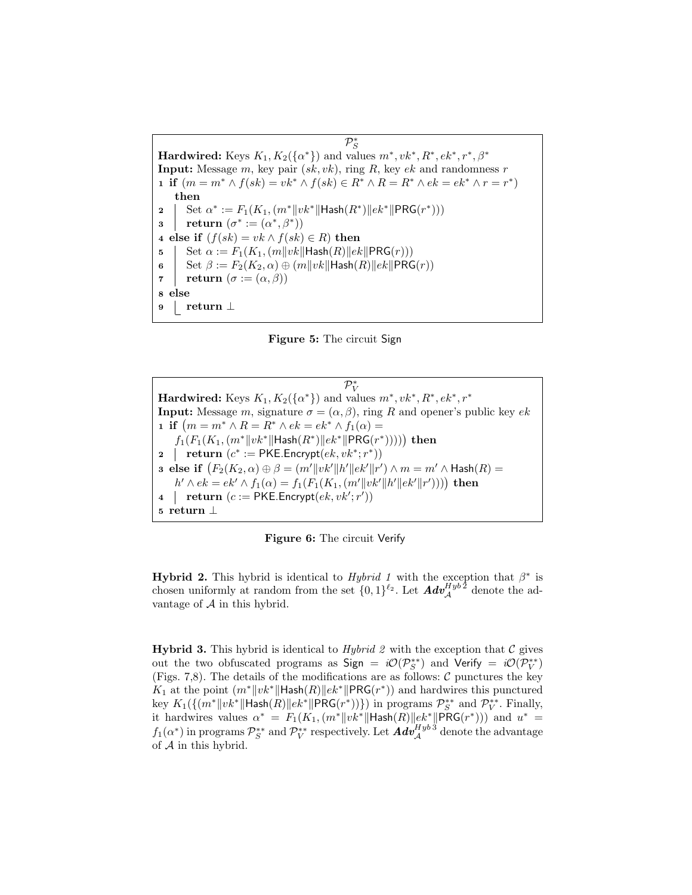$\mathcal{P}^*_S$ Hardwired: Keys  $K_1, K_2({\{\alpha^*\}})$  and values  $m^*, vk^*, R^*, ek^*, r^*, \beta^*$ **Input:** Message m, key pair  $(sk, vk)$ , ring R, key ek and randomness r 1 if  $(m = m^* \wedge f(sk) = vk^* \wedge f(sk) \in R^* \wedge R = R^* \wedge ek = ek^* \wedge r = r^*$ then 2 Set  $\alpha^* := F_1(K_1, (m^* \| v k^* \| \textsf{Hash}(R^*) \| e k^* \| \textsf{PRG}(r^*)))$ 3 | return  $(\sigma^*:=(\alpha^*,\beta^*))$ 4 else if  $(f(sk) = vk \wedge f(sk) \in R$ ) then 5 Set  $\alpha := F_1(K_1,(m||vk||\text{Hash}(R)||ek||\text{PRG}(r)))$ 6 Set  $\beta := F_2(K_2, \alpha) \oplus (m||vk||\text{Hash}(R)||ek||\text{PRG}(r))$ 7 return  $(\sigma := (\alpha, \beta))$ 8 else <sup>9</sup> return ⊥

Figure 5: The circuit Sign

 $\mathcal{P}_V^*$ Hardwired: Keys  $K_1, K_2(\{\alpha^*\})$  and values  $m^*, vk^*, R^*, ek^*, r^*$ **Input:** Message m, signature  $\sigma = (\alpha, \beta)$ , ring R and opener's public key ek 1 if  $(m = m^* \wedge R = R^* \wedge ek = ek^* \wedge f_1(\alpha) =$  $f_1(F_1(K_1, (m^* \|vk^* \|$ Hash $(R^*) \| ek^* \| PRG(r^*))))$  then 2 | return  $(c^* := \text{PKE}.\text{Encrypt}(ek, vk^*; r^*))$ **3** else if  $(F_2(K_2, \alpha) \oplus \beta = (m'\|vk'\|h'\|ek'\|r') \wedge m = m' \wedge \mathsf{Hash}(R) =$  $h' \wedge ek = ek' \wedge f_1(\alpha) = f_1(F_1(K_1, (m' || vk' || h' || ek' || r'))))$  then 4 | return  $(c := PKE \cdot \text{Encrypt}(ek, vk';r'))$ <sup>5</sup> return ⊥

Figure 6: The circuit Verify

**Hybrid 2.** This hybrid is identical to *Hybrid 1* with the exception that  $\beta^*$  is chosen uniformly at random from the set  $\{0,1\}^{\ell_2}$ . Let  $\text{Adv}_{\mathcal{A}}^{Hyb\bar{2}}$  denote the advantage of  $A$  in this hybrid.

**Hybrid 3.** This hybrid is identical to *Hybrid 2* with the exception that  $\mathcal{C}$  gives out the two obfuscated programs as Sign =  $i\mathcal{O}(\mathcal{P}_S^{**})$  and Verify =  $i\mathcal{O}(\mathcal{P}_V^{**})$ (Figs. 7,8). The details of the modifications are as follows:  $C$  punctures the key  $K_1$  at the point  $(m^*||vk^*||\text{Hash}(R)||ek^*||\text{PRG}(r^*))$  and hardwires this punctured key  $K_1(\{(m^*\|vk^*\|\textsf{Hash}(R)\|ek^*\|\textsf{PRG}(r^*))\})$  in programs  $\mathcal{P}_S^{**}$  and  $\mathcal{P}_V^{**}$ . Finally, it hardwires values  $\alpha^* = F_1(K_1, (m^*||vk^*||\text{Hash}(R)||ek^*||\text{PRG}(r^*)))$  and  $u^* =$  $f_1(\alpha^*)$  in programs  $\mathcal{P}_S^{**}$  and  $\mathcal{P}_V^{**}$  respectively. Let  $\pmb{Adv}^{Hyb\,3}_{\mathcal{A}}$  denote the advantage of A in this hybrid.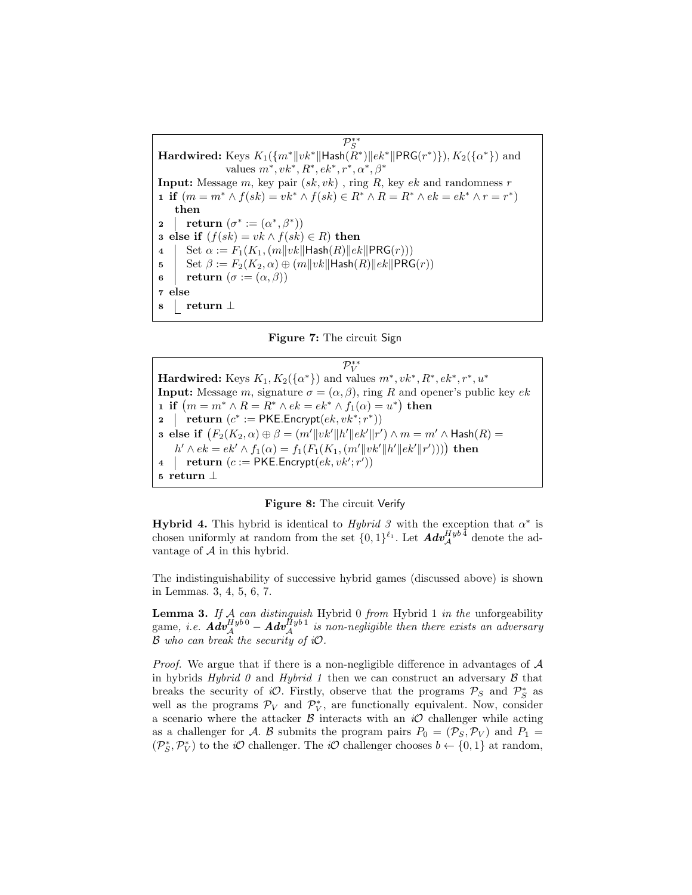$\mathcal{P}_S^{**}$  ${\bf Hardwired:} \ \text{Keys} \ K_1(\{m^*\|vk^*\|\textsf{Hash}(\tilde{R}^*)\|ek^*\|\textsf{PRG}(r^*)\}), K_2(\{\alpha^*\}) \ \text{and}$ values  $m^*, vk^*, R^*, ek^*, r^*, \alpha^*, \beta^*$ **Input:** Message m, key pair  $(sk, vk)$ , ring R, key  $ek$  and randomness r 1 if  $(m = m^* \wedge f(sk) = vk^* \wedge f(sk) \in R^* \wedge R = R^* \wedge ek = ek^* \wedge r = r^*$ then 2 | return  $(\sigma^*:=(\alpha^*,\beta^*))$ 3 else if  $(f(sk) = vk \wedge f(sk) \in R$ ) then 4 Set  $\alpha := F_1(K_1, (m||vk||\text{Hash}(R)||ek||\text{PRG}(r)))$ 5 Set  $\beta := F_2(K_2, \alpha) \oplus (m||vk||\text{Hash}(R)||ek||\text{PRG}(r))$ 6 | return  $(\sigma := (\alpha, \beta))$ 7 else <sup>8</sup> return ⊥

Figure 7: The circuit Sign

 $\mathcal{P}_V^{**}$ Hardwired: Keys  $K_1, K_2({\{\alpha^*\}})$  and values  $m^*, vk^*, R^*, ek^*, r^*, u^*$ **Input:** Message m, signature  $\sigma = (\alpha, \beta)$ , ring R and opener's public key ek 1 if  $(m = m^* \land R = R^* \land ek = ek^* \land f_1(\alpha) = u^*)$  then 2 | return  $(c^* := \textsf{PKE}.\textsf{Encrypt}(ek, vk^*; r^*))$ **3** else if  $(F_2(K_2, \alpha) \oplus \beta = (m'\|vk'\|h'\|ek'\|r') \wedge m = m' \wedge \mathsf{Hash}(R) =$  $h' \wedge ek = ek' \wedge f_1(\alpha) = f_1(F_1(K_1, (m' || vk' || h' || ek' || r'))))$  then 4 | return  $(c := PKE \cdot \text{Encrypt}(ek, vk';r'))$ <sup>5</sup> return ⊥

Figure 8: The circuit Verify

Hybrid 4. This hybrid is identical to *Hybrid 3* with the exception that  $\alpha^*$  is chosen uniformly at random from the set  $\{0,1\}^{\ell_1}$ . Let  $\text{Adv}_{\mathcal{A}}^{Hyb\bar{4}}$  denote the advantage of  $A$  in this hybrid.

The indistinguishability of successive hybrid games (discussed above) is shown in Lemmas. 3, 4, 5, 6, 7.

**Lemma 3.** If  $A$  can distinguish Hybrid 0 from Hybrid 1 in the unforgeability  $\mathop{\rm game}\nolimits,\ i.e.\; \bm{Adv}_{\mathcal{A}}^{Hyb\,0}-\bm{Adv}_{\mathcal{A}}^{Hyb\,1}\;$  is non-negligible then there exists an adversary  $\mathcal B$  who can break the security of  $i\mathcal O$ .

*Proof.* We argue that if there is a non-negligible difference in advantages of  $A$ in hybrids Hybrid  $\theta$  and Hybrid 1 then we can construct an adversary  $\beta$  that breaks the security of iO. Firstly, observe that the programs  $P_S$  and  $P_S^*$  as well as the programs  $\mathcal{P}_V$  and  $\mathcal{P}_V^*$ , are functionally equivalent. Now, consider a scenario where the attacker  $\beta$  interacts with an  $i\mathcal{O}$  challenger while acting as a challenger for A. B submits the program pairs  $P_0 = (\mathcal{P}_S, \mathcal{P}_V)$  and  $P_1 =$  $(\mathcal{P}_S^*, \mathcal{P}_V^*)$  to the *iO* challenger. The *iO* challenger chooses  $b \leftarrow \{0, 1\}$  at random,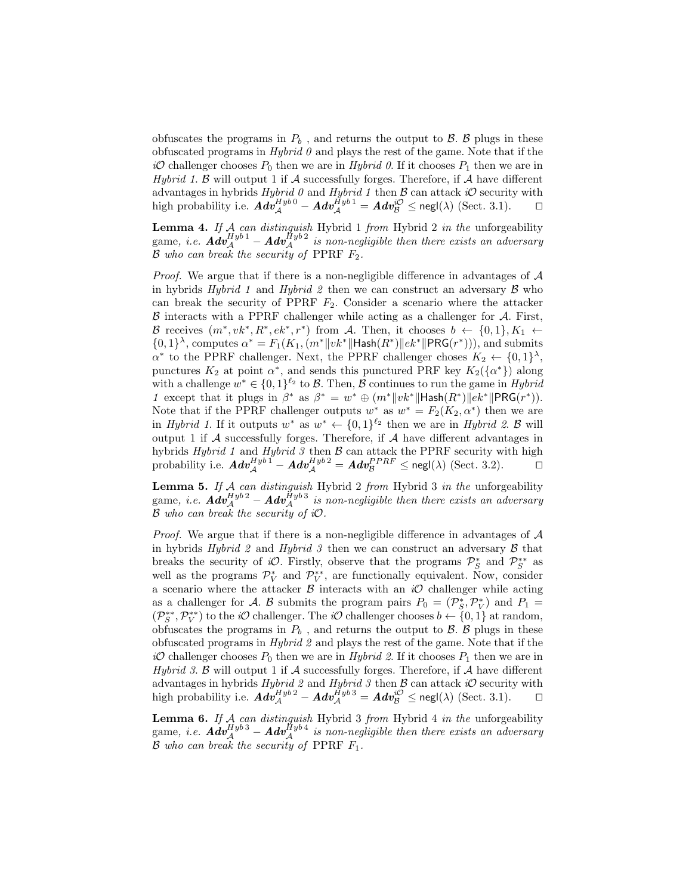obfuscates the programs in  $P_b$ , and returns the output to  $\beta$ .  $\beta$  plugs in these obfuscated programs in  $Hybrid$  0 and plays the rest of the game. Note that if the  $i\mathcal{O}$  challenger chooses  $P_0$  then we are in Hybrid 0. If it chooses  $P_1$  then we are in Hybrid 1.  $\beta$  will output 1 if  $\mathcal A$  successfully forges. Therefore, if  $\mathcal A$  have different advantages in hybrids Hybrid 0 and Hybrid 1 then  $\beta$  can attack iO security with high probability i.e.  $\boldsymbol{Adv}_{\mathcal{A}}^{Hyb\,0} - \boldsymbol{Adv}_{\mathcal{A}}^{Hyb\,1} = \boldsymbol{Adv}_{\mathcal{B}}^{i\mathcal{O}} \le \mathsf{negl}(\lambda) \; (\text{Sect. 3.1}).$ 

**Lemma 4.** If A can distinguish Hybrid 1 from Hybrid 2 in the unforgeability game, i.e.  $\boldsymbol{Adv}_{\mathcal{A}}^{Hyb\,1} - \boldsymbol{Adv}_{\mathcal{A}}^{Hyb\,2}$  is non-negligible then there exists an adversary  $\mathcal B$  who can break the security of PPRF  $F_2$ .

*Proof.* We argue that if there is a non-negligible difference in advantages of  $A$ in hybrids Hybrid 1 and Hybrid 2 then we can construct an adversary  $\beta$  who can break the security of PPRF  $F_2$ . Consider a scenario where the attacker  $\beta$  interacts with a PPRF challenger while acting as a challenger for  $\mathcal{A}$ . First, B receives  $(m^*, vk^*, R^*, ek^*, r^*)$  from A. Then, it chooses  $b \leftarrow \{0,1\}, K_1 \leftarrow$  $\{0,1\}^{\lambda}$ , computes  $\alpha^* = F_1(K_1, (m^*||vk^*||\text{Hash}(R^*))||ek^*||\text{PRG}(r^*)))$ , and submits  $\alpha^*$  to the PPRF challenger. Next, the PPRF challenger choses  $K_2 \leftarrow \{0,1\}^{\lambda}$ , punctures  $K_2$  at point  $\alpha^*$ , and sends this punctured PRF key  $K_2({\{\alpha^*\}})$  along with a challenge  $w^* \in \{0,1\}^{\ell_2}$  to B. Then, B continues to run the game in Hybrid 1 except that it plugs in  $\beta^*$  as  $\beta^* = w^* \oplus (m^*||vk^*||\text{Hash}(R^*)||ek^*||\text{PRG}(r^*)).$ Note that if the PPRF challenger outputs  $w^*$  as  $w^* = F_2(K_2, \alpha^*)$  then we are in Hybrid 1. If it outputs  $w^*$  as  $w^* \leftarrow \{0,1\}^{\ell_2}$  then we are in Hybrid 2. B will output 1 if  $A$  successfully forges. Therefore, if  $A$  have different advantages in hybrids Hybrid 1 and Hybrid 3 then  $\beta$  can attack the PPRF security with high probability i.e.  $\boldsymbol{Adv}_{\mathcal{A}}^{Hyb\,1} - \boldsymbol{Adv}_{\mathcal{A}}^{Hyb\,2} = \boldsymbol{Adv}_{\mathcal{B}}^{PPRF} \le \mathsf{negl}(\lambda) \text{ (Sect. 3.2)}.$ 

**Lemma 5.** If  $A$  can distinguish Hybrid 2 from Hybrid 3 in the unforgeability  $\mathop{\rm game}\nolimits,\ i.e.\; \bm{Adv}_{\mathcal{A}}^{Hyb\,2} - \bm{Adv}_{\mathcal{A}}^{Hyb\,3}\;$  is non-negligible then there exists an adversary  $\mathcal B$  who can break the security of  $i\mathcal O$ .

*Proof.* We argue that if there is a non-negligible difference in advantages of  $A$ in hybrids Hybrid 2 and Hybrid 3 then we can construct an adversary  $\beta$  that breaks the security of *iO*. Firstly, observe that the programs  $\mathcal{P}_S^*$  and  $\mathcal{P}_S^{**}$  as well as the programs  $\mathcal{P}_V^*$  and  $\mathcal{P}_V^{**}$ , are functionally equivalent. Now, consider a scenario where the attacker  $\beta$  interacts with an  $i\mathcal{O}$  challenger while acting as a challenger for A. B submits the program pairs  $P_0 = (\mathcal{P}_S^*, \mathcal{P}_V^*)$  and  $P_1 =$  $(\mathcal{P}_S^{**}, \mathcal{P}_V^{**})$  to the *iO* challenger. The *iO* challenger chooses  $b \leftarrow \{0, 1\}$  at random, obfuscates the programs in  $P_b$ , and returns the output to  $\beta$ .  $\beta$  plugs in these obfuscated programs in Hybrid 2 and plays the rest of the game. Note that if the  $i\mathcal{O}$  challenger chooses  $P_0$  then we are in Hybrid 2. If it chooses  $P_1$  then we are in Hybrid 3.  $\beta$  will output 1 if  $\mathcal A$  successfully forges. Therefore, if  $\mathcal A$  have different advantages in hybrids Hybrid 2 and Hybrid 3 then  $\beta$  can attack iO security with high probability i.e.  $\boldsymbol{Adv}_{\mathcal{A}}^{Hyb\,2} - \boldsymbol{Adv}_{\mathcal{A}}^{Hyb\,3} = \boldsymbol{Adv}_{\mathcal{B}}^{i\mathcal{O}} \le \mathsf{negl}(\lambda) \text{ (Sect. 3.1).}$ 

**Lemma 6.** If  $A$  can distinguish Hybrid 3 from Hybrid 4 in the unforgeability  $\mathop{\rm game}\nolimits,\ i.e.\; \bm{Adv}_{\mathcal{A}}^{Hyb\,3} - \bm{Adv}_{\mathcal{A}}^{Hyb\,4}\;$  is non-negligible then there exists an adversary  $\mathcal B$  who can break the security of PPRF  $F_1$ .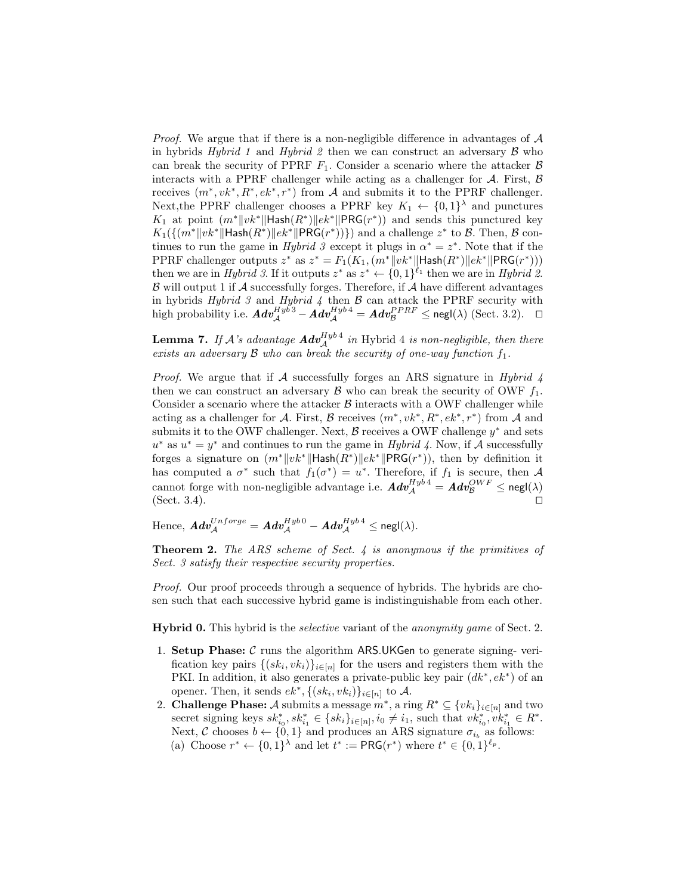*Proof.* We argue that if there is a non-negligible difference in advantages of  $A$ in hybrids Hybrid 1 and Hybrid 2 then we can construct an adversary  $\beta$  who can break the security of PPRF  $F_1$ . Consider a scenario where the attacker  $\beta$ interacts with a PPRF challenger while acting as a challenger for  $A$ . First,  $B$ receives  $(m^*, vk^*, R^*, ek^*, r^*)$  from A and submits it to the PPRF challenger. Next, the PPRF challenger chooses a PPRF key  $K_1 \leftarrow \{0,1\}^{\lambda}$  and punctures K<sub>1</sub> at point  $(m^*||vk^*||$ Hash $(R^*)||ek^*||PRG(r^*))$  and sends this punctured key  $K_1(\{(m^*||vk^*||\text{Hash}(R^*)||ek^*||\text{PRG}(r^*))\})$  and a challenge  $z^*$  to  $\mathcal{B}$ . Then,  $\mathcal{B}$  continues to run the game in *Hybrid 3* except it plugs in  $\alpha^* = z^*$ . Note that if the PPRF challenger outputs  $z^*$  as  $z^* = F_1(K_1, (m^*||vk^*||\text{Hash}(R^*)||ek^*||\text{PRG}(r^*)))$ then we are in *Hybrid 3*. If it outputs  $z^*$  as  $z^* \leftarrow \{0,1\}^{\ell_1}$  then we are in *Hybrid 2*.  $\beta$  will output 1 if  $\mathcal A$  successfully forges. Therefore, if  $\mathcal A$  have different advantages in hybrids Hybrid 3 and Hybrid 4 then  $\beta$  can attack the PPRF security with high probability i.e.  $\boldsymbol{Adv}_{\mathcal{A}}^{Hyb'3} - \boldsymbol{Adv}_{\mathcal{A}}^{Hyb'4} = \boldsymbol{Adv}_{\mathcal{B}}^{PPRF} \le \mathsf{negl}(\lambda) \text{ (Sect. 3.2).}$ 

**Lemma 7.** If A's advantage  $\boldsymbol{Adv}_{\mathcal{A}}^{Hyb4}$  in Hybrid 4 is non-negligible, then there exists an adversary  $\beta$  who can break the security of one-way function  $f_1$ .

*Proof.* We argue that if A successfully forges an ARS signature in Hybrid  $\lambda$ then we can construct an adversary  $\beta$  who can break the security of OWF  $f_1$ . Consider a scenario where the attacker  $\beta$  interacts with a OWF challenger while acting as a challenger for A. First, B receives  $(m^*, vk^*, R^*, ek^*, r^*)$  from A and submits it to the OWF challenger. Next,  $\beta$  receives a OWF challenge  $y^*$  and sets  $u^*$  as  $u^* = y^*$  and continues to run the game in Hybrid 4. Now, if A successfully forges a signature on  $(m^*||vk^*||\text{Hash}(R^*)||ek^*||\text{PRG}(r^*))$ , then by definition it has computed a  $\sigma^*$  such that  $f_1(\sigma^*) = u^*$ . Therefore, if  $f_1$  is secure, then A cannot forge with non-negligible advantage i.e.  $\pmb{A} \pmb{dv^{Hyb}_A} = \pmb{A} \pmb{dv^{OWF}_B} \leq \mathsf{negl}(\lambda)$ (Sect. 3.4).  $\Box$ 

Hence,  $\pmb{Adv}_{\mathcal{A}}^{Unforce} = \pmb{Adv}_{\mathcal{A}}^{Hyb\,0} - \pmb{Adv}_{\mathcal{A}}^{Hyb\,4} \leq \mathsf{negl}(\lambda).$ 

**Theorem 2.** The ARS scheme of Sect. 4 is anonymous if the primitives of Sect. 3 satisfy their respective security properties.

Proof. Our proof proceeds through a sequence of hybrids. The hybrids are chosen such that each successive hybrid game is indistinguishable from each other.

Hybrid 0. This hybrid is the *selective* variant of the *anonymity game* of Sect. 2.

- 1. Setup Phase:  $C$  runs the algorithm ARS.UKGen to generate signing-verification key pairs  $\{(sk_i, vk_i)\}_{i\in[n]}$  for the users and registers them with the PKI. In addition, it also generates a private-public key pair  $(dk^*, ek^*)$  of an opener. Then, it sends  $ek^*, \{(sk_i, vk_i)\}_{i\in[n]}$  to A.
- 2. **Challenge Phase:** A submits a message  $m^*$ , a ring  $R^* \subseteq \{vk_i\}_{i\in[n]}$  and two secret signing keys  $sk_{i_0}^*$ ,  $sk_{i_1}^* \in \{sk_i\}_{i \in [n]}, i_0 \neq i_1$ , such that  $vk_{i_0}^*, vk_{i_1}^* \in R^*$ . Next, C chooses  $b \leftarrow \{0, 1\}$  and produces an ARS signature  $\sigma_{i_b}$  as follows: (a) Choose  $r^* \leftarrow \{0,1\}^{\lambda}$  and let  $t^* := \text{PRG}(r^*)$  where  $t^* \in \{0,1\}^{\ell_p}$ .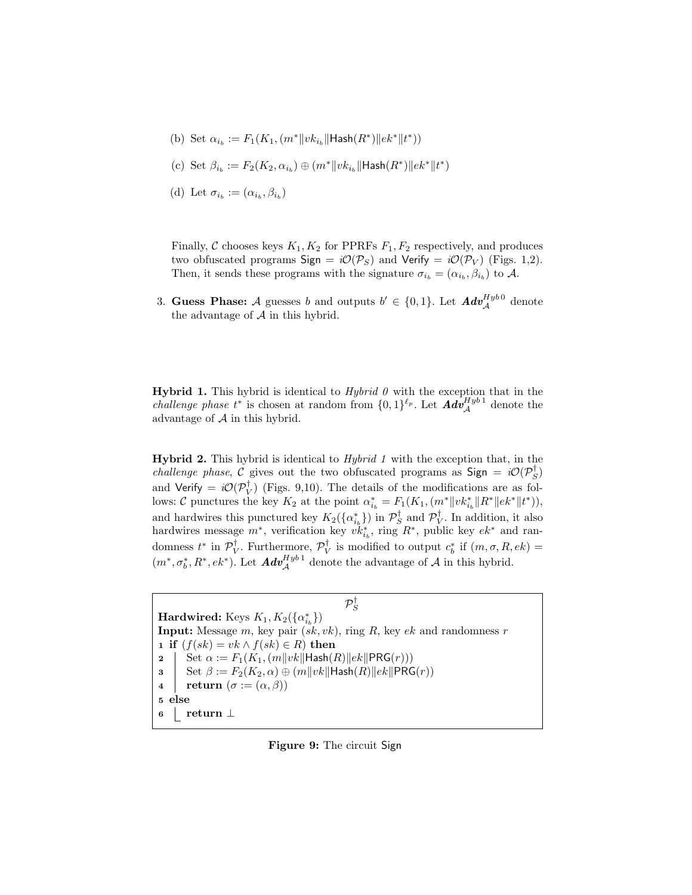- (b) Set  $\alpha_{i_b}:=F_1(K_1, (m^*\|vk_{i_b}\|\mathsf{Hash}(R^*)\|ek^*\|t^*))$
- (c) Set  $\beta_{i_b} := F_2(K_2, \alpha_{i_b}) \oplus (m^* \| v k_{i_b} \| \text{Hash}(R^*) \| e k^* \| t^*)$
- (d) Let  $\sigma_{i_b} := (\alpha_{i_b}, \beta_{i_b})$

Finally, C chooses keys  $K_1, K_2$  for PPRFs  $F_1, F_2$  respectively, and produces two obfuscated programs Sign =  $i\mathcal{O}(\mathcal{P}_S)$  and Verify =  $i\mathcal{O}(\mathcal{P}_V)$  (Figs. 1,2). Then, it sends these programs with the signature  $\sigma_{i_b} = (\alpha_{i_b}, \beta_{i_b})$  to A.

3. Guess Phase: A guesses b and outputs  $b' \in \{0,1\}$ . Let  $Adv_{\mathcal{A}}^{Hyb0}$  denote the advantage of  $A$  in this hybrid.

**Hybrid 1.** This hybrid is identical to  $Hybrid \theta$  with the exception that in the *challenge phase*  $t^*$  is chosen at random from  $\{0,1\}^{\ell_p}$ . Let  $\text{Adv}_{\mathcal{A}}^{Hyb1}$  denote the advantage of  $A$  in this hybrid.

**Hybrid 2.** This hybrid is identical to  $Hybrid 1$  with the exception that, in the *challenge phase*, C gives out the two obfuscated programs as  $Sign = i\mathcal{O}(\mathcal{P}_S^{\dagger})$ and Verify =  $i\mathcal{O}(\mathcal{P}_V^{\dagger})$  (Figs. 9,10). The details of the modifications are as follows: C punctures the key  $K_2$  at the point  $\alpha_{i_b}^* = F_1(K_1, (m^*||vk_{i_b}^*||R^*||ek^*||t^*)),$ and hardwires this punctured key  $K_2(\{\alpha_{i_b}^*\})$  in  $\mathcal{P}_S^{\dagger}$  and  $\mathcal{P}_V^{\dagger}$ . In addition, it also hardwires message  $m^*$ , verification key  $vk_{i_b}^*$ , ring  $R^*$ , public key  $ek^*$  and randomness  $t^*$  in  $\mathcal{P}_V^{\dagger}$ . Furthermore,  $\mathcal{P}_V^{\dagger}$  is modified to output  $c_b^*$  if  $(m, \sigma, R, ek)$  =  $(m^*, \sigma_b^*, R^*, e k^*)$ . Let  $\mathbf{Adv}_{\mathcal{A}}^{Hyb1}$  denote the advantage of  $\mathcal{A}$  in this hybrid.

 $\mathcal{P}^{\dagger}_{S}$ Hardwired: Keys  $K_1, K_2(\{\alpha_{i_b}^*\})$ **Input:** Message m, key pair  $(sk, vk)$ , ring R, key  $ek$  and randomness r 1 if  $(f(sk) = vk \wedge f(sk) \in R$ ) then 2 Set  $\alpha := F_1(K_1,(m||vk||\text{Hash}(R)||ek||\text{PRG}(r)))$ 3 Set  $\beta := F_2(K_2, \alpha) \oplus (m||vk||\text{Hash}(R)||ek||\text{PRG}(r))$ 4 | return  $(\sigma := (\alpha, \beta))$ <sup>5</sup> else <sup>6</sup> return ⊥

Figure 9: The circuit Sign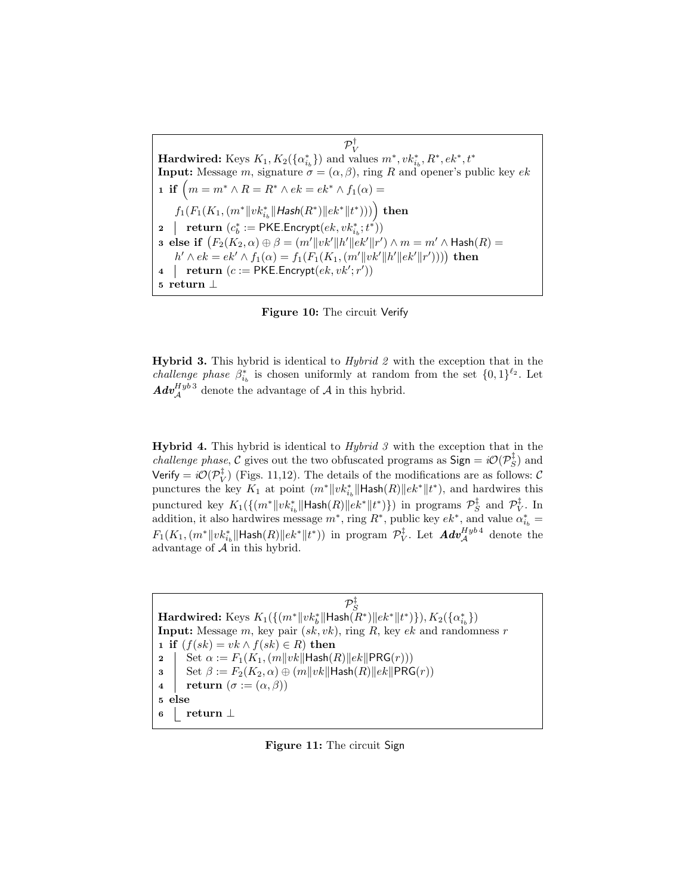$\mathcal{P}^{\dagger}_{\rm V}$  $\textbf{Hardwired: } \text{Keys } K_1, K_2(\{\alpha_{i_b}^*\}) \text{ and values } m^*, vk_{i_b}^*, R^*, ek^*, t^*$ **Input:** Message m, signature  $\sigma = (\alpha, \beta)$ , ring R and opener's public key ek 1 if  $(m = m^* \wedge R = R^* \wedge ek = ek^* \wedge f_1(\alpha) =$  $f_1(F_1(K_1, (m^*\|vk_{i_b}^*\|Hash(R^*)\|ek^*\|t^*)))\Big)$  then 2 | return  $(c_b^* := \textsf{PKE}.\textsf{Encrypt}(ek, vk_{i_b}^*; t^*))$ **3 else if**  $(F_2(K_2, \alpha) \oplus \beta = (m' || vk' || h' || ek' || r') \wedge m = m' \wedge \text{Hash}(R) =$  $h' \wedge ek = ek' \wedge f_1(\alpha) = f_1(F_1(K_1, (m'\|vk'\|h'\|ek'\|r'))))$  then 4 | return  $(c := PKE \cdot \text{Encrypt}(ek, vk';r'))$ <sup>5</sup> return ⊥

Figure 10: The circuit Verify

**Hybrid 3.** This hybrid is identical to *Hybrid 2* with the exception that in the *challenge phase*  $\beta_{i_b}^*$  is chosen uniformly at random from the set  $\{0,1\}^{\ell_2}$ . Let  $\mathbf{Adv}_{\mathcal{A}}^{Hyb\,3}$  denote the advantage of  $\mathcal{A}$  in this hybrid.

**Hybrid 4.** This hybrid is identical to  $Hybrid 3$  with the exception that in the *challenge phase,* C gives out the two obfuscated programs as  $\text{Sign} = i\mathcal{O}(\mathcal{P}_S^{\ddagger})$  and Verify =  $i\mathcal{O}(\mathcal{P}_V^{\ddagger})$  (Figs. 11,12). The details of the modifications are as follows:  $\mathcal{C}$ punctures the key  $K_1$  at point  $(m^*||vk_{i_b}^*||\text{Hash}(R)||ek^*||t^*)$ , and hardwires this punctured key  $K_1(\{(m^*\|vk_{i_b}^*\|\text{Hash}(R)\|ek^*\|t^*)\})$  in programs  $\mathcal{P}_S^{\ddagger}$  and  $\mathcal{P}_V^{\ddagger}$ . In addition, it also hardwires message  $m^*$ , ring  $R^*$ , public key  $ek^*$ , and value  $\alpha_{i_b}^* =$  $F_1(K_1, (m^* \|vk_{i_b}^* \|Hash(R) \|ek^* \|t^*))$  in program  $\mathcal{P}_V^\ddagger$ . Let  $\pmb{Adv}_{\mathcal{A}}^{Hyb\,4}$  denote the advantage of A in this hybrid.

 $\mathcal{P}^\ddagger_S$  $\textbf{Hardwired: } \text{Keys } K_1(\{(m^* \|vk_b^*\|\textsf{Hash}(\bar{R}^*) \| ek^*\|t^*)\}), K_2(\{\alpha_{i_b}^*\})$ **Input:** Message m, key pair  $(sk, vk)$ , ring R, key  $ek$  and randomness r 1 if  $(f(sk) = vk \wedge f(sk) \in R$ ) then 2 | Set  $\alpha := F_1(K_1,(m||vk||\text{Hash}(R)||ek||\text{PRG}(r)))$ 3 Set  $\beta := F_2(K_2, \alpha) \oplus (m||vk||\text{Hash}(R)||ek||\text{PRG}(r))$ 4 | return  $(\sigma := (\alpha, \beta))$ <sup>5</sup> else <sup>6</sup> return ⊥

Figure 11: The circuit Sign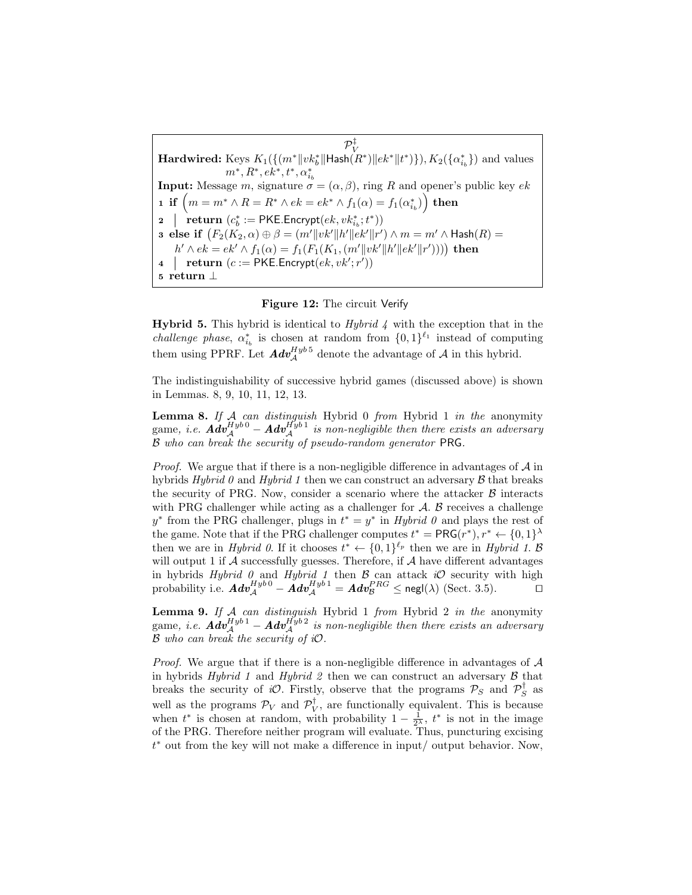$\mathcal{P}_V^{\ddagger}$ <br>Hardwired: Keys  $K_1(\{(m^*\|vk_b^*\|\text{Hash}(R^*)\|ek^*\|t^*)\}), K_2(\{\alpha^*_{i_b}\})$  and values **Input:** Message m, signature  $\sigma = (\alpha, \beta)$ , ring R and opener's public key ek  ${\tt i} \ \ {\tt i} \ \ {\tt f} \ \left( m = m^* \wedge R = R^* \wedge ek = ek^* \wedge f_1(\alpha) = f_1(\alpha_{i_b}^*) \right) \ {\tt then}$ 2 | return  $(c_b^* := \text{PKE}$ . Encrypt $(ek, vk_{i_b}^*; t^*))$ **3** else if  $(F_2(K_2, \alpha) \oplus \beta = (m'\|vk'\|h'\|ek'\|r') \wedge m = m' \wedge \mathsf{Hash}(R) =$  $h' \wedge ek = ek' \wedge f_1(\alpha) = f_1(F_1(K_1, (m' || vk' || h' || ek' || r'))))$  then 4 | return  $(c := PKE \cdot \text{Encrypt}(ek, vk';r'))$ <sup>5</sup> return ⊥

#### Figure 12: The circuit Verify

**Hybrid 5.** This hybrid is identical to *Hybrid 4* with the exception that in the *challenge phase*,  $\alpha_{i_b}^*$  is chosen at random from  $\{0,1\}^{\ell_1}$  instead of computing them using PPRF. Let  $Adv_{\mathcal{A}}^{Hyb.5}$  denote the advantage of  $\mathcal{A}$  in this hybrid.

The indistinguishability of successive hybrid games (discussed above) is shown in Lemmas. 8, 9, 10, 11, 12, 13.

**Lemma 8.** If A can distinguish Hybrid 0 from Hybrid 1 in the anonymity game, i.e.  $\boldsymbol{Adv}_{\mathcal{A}}^{Hyb\,0} - \boldsymbol{Adv}_{\mathcal{A}}^{Hyb\,1}$  is non-negligible then there exists an adversary B who can break the security of pseudo-random generator PRG.

*Proof.* We argue that if there is a non-negligible difference in advantages of  $A$  in hybrids Hybrid 0 and Hybrid 1 then we can construct an adversary  $\beta$  that breaks the security of PRG. Now, consider a scenario where the attacker  $\beta$  interacts with PRG challenger while acting as a challenger for  $A$ .  $B$  receives a challenge  $y^*$  from the PRG challenger, plugs in  $t^* = y^*$  in Hybrid 0 and plays the rest of the game. Note that if the PRG challenger computes  $t^* = \text{PRG}(r^*), r^* \leftarrow \{0, 1\}^{\lambda}$ then we are in Hybrid 0. If it chooses  $t^* \leftarrow \{0,1\}^{\ell_p}$  then we are in Hybrid 1. B will output 1 if  $A$  successfully guesses. Therefore, if  $A$  have different advantages in hybrids Hybrid 0 and Hybrid 1 then  $\beta$  can attack iO security with high probability i.e.  $\boldsymbol{Adv}_{\mathcal{A}}^{Hyb\,0} - \boldsymbol{\mathring{A}}\boldsymbol{dv}_{\mathcal{A}}^{Hyb\,1} = \boldsymbol{Adv}_{\mathcal{B}}^{PRG} \leq \mathsf{negl}(\lambda) \text{ (Sect. 3.5)}.$ 

**Lemma 9.** If  $A$  can distinguish Hybrid 1 from Hybrid 2 in the anonymity game, i.e.  $\boldsymbol{Adv}_{\mathcal{A}}^{Hyb\,1} - \boldsymbol{Adv}_{\mathcal{A}}^{Hyb\,2}$  is non-negligible then there exists an adversary  $\mathcal B$  who can break the security of  $i\mathcal O$ .

*Proof.* We argue that if there is a non-negligible difference in advantages of  $A$ in hybrids Hybrid 1 and Hybrid 2 then we can construct an adversary  $\beta$  that breaks the security of iO. Firstly, observe that the programs  $P_S$  and  $P_S^{\dagger}$  as well as the programs  $\mathcal{P}_V$  and  $\mathcal{P}_V^{\dagger}$ , are functionally equivalent. This is because when  $t^*$  is chosen at random, with probability  $1 - \frac{1}{2^{\lambda}}$ ,  $t^*$  is not in the image of the PRG. Therefore neither program will evaluate. Thus, puncturing excising t <sup>∗</sup> out from the key will not make a difference in input/ output behavior. Now,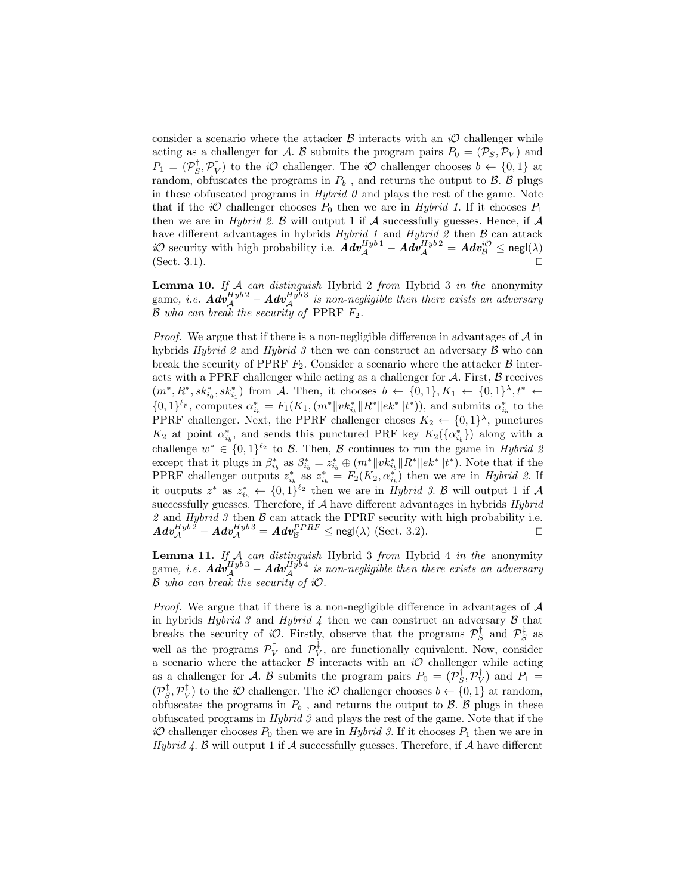consider a scenario where the attacker  $\beta$  interacts with an  $i\mathcal{O}$  challenger while acting as a challenger for A. B submits the program pairs  $P_0 = (\mathcal{P}_S, \mathcal{P}_V)$  and  $P_1 = (\mathcal{P}_S^{\dagger}, \mathcal{P}_V^{\dagger})$  to the *iO* challenger. The *iO* challenger chooses  $b \leftarrow \{0, 1\}$  at random, obfuscates the programs in  $P_b$ , and returns the output to  $\beta$ .  $\beta$  plugs in these obfuscated programs in  $Hybrid$   $\theta$  and plays the rest of the game. Note that if the iO challenger chooses  $P_0$  then we are in Hybrid 1. If it chooses  $P_1$ then we are in *Hybrid 2.*  $\beta$  will output 1 if  $\mathcal A$  successfully guesses. Hence, if  $\mathcal A$ have different advantages in hybrids *Hybrid 1* and *Hybrid 2* then  $\beta$  can attack *iO* security with high probability i.e.  $\hat{A}dv_A^{Hyb1} - \hat{A}dv_A^{Hyb2} = Adv_B^{iO} \le$  negl( $\lambda$ ) (Sect. 3.1).  $\Box$ 

**Lemma 10.** If  $A$  can distinguish Hybrid 2 from Hybrid 3 in the anonymity game, i.e.  $\boldsymbol{Adv}_{\mathcal{A}}^{Hyb\,2} - \boldsymbol{Adv}_{\mathcal{A}}^{Hyb\,3}$  is non-negligible then there exists an adversary  $\mathcal B$  who can break the security of PPRF  $F_2$ .

*Proof.* We argue that if there is a non-negligible difference in advantages of  $A$  in hybrids Hybrid 2 and Hybrid 3 then we can construct an adversary  $\beta$  who can break the security of PPRF  $F_2$ . Consider a scenario where the attacker  $\beta$  interacts with a PPRF challenger while acting as a challenger for  $A$ . First,  $B$  receives  $(m^*, R^*, sk_{i_0}^*, sk_{i_1}^*)$  from A. Then, it chooses  $b \leftarrow \{0,1\}, K_1 \leftarrow \{0,1\}^{\lambda}, t^* \leftarrow$  ${0,1}^{\ell_p}$ , computes  $\alpha_{i_b}^* = F_1(K_1, (m^* \| v k_{i_b}^* \| R^* \| e k^* \| t^*)),$  and submits  $\alpha_{i_b}^*$  to the PPRF challenger. Next, the PPRF challenger choses  $K_2 \leftarrow \{0,1\}^{\lambda}$ , punctures  $K_2$  at point  $\alpha_{i_b}^*$ , and sends this punctured PRF key  $K_2(\{\alpha_{i_b}^*\})$  along with a challenge  $w^* \in \{0,1\}^{\ell_2}$  to B. Then, B continues to run the game in Hybrid 2 except that it plugs in  $\beta_{i_b}^*$  as  $\beta_{i_b}^* = z_{i_b}^* \oplus (m^* || v k_{i_b}^* || R^* || e k^* || t^*).$  Note that if the PPRF challenger outputs  $z_{i_b}^*$  as  $z_{i_b}^* = F_2(K_2, \alpha_{i_b}^*)$  then we are in Hybrid 2. If it outputs  $z^*$  as  $z_{i_b}^* \leftarrow \{0,1\}^{\ell_2}$  then we are in Hybrid 3. B will output 1 if A successfully guesses. Therefore, if  $A$  have different advantages in hybrids  $Hybrid$ 2 and Hybrid 3 then  $\beta$  can attack the PPRF security with high probability i.e.  $\boldsymbol{Adv}_{\mathcal{A}}^{Hyb\,2} - \boldsymbol{Adv}_{\mathcal{A}}^{Hyb\,3} = \boldsymbol{Adv}_{\mathcal{B}}^{PPRF} \le \mathsf{negl}(\lambda) \text{ (Sect. 3.2)}.$ 

**Lemma 11.** If  $A$  can distinguish Hybrid 3 from Hybrid 4 in the anonymity  $\mathop{\rm game}\nolimits,\ i.e.\; \bm{Adv}_{\mathcal{A}}^{Hyb\,3} - \bm{Adv}_{\mathcal{A}}^{Hyb\,4}\;$  is non-negligible then there exists an adversary  $\mathcal B$  who can break the security of  $i\mathcal O$ .

*Proof.* We argue that if there is a non-negligible difference in advantages of  $A$ in hybrids Hybrid 3 and Hybrid 4 then we can construct an adversary  $\beta$  that breaks the security of iO. Firstly, observe that the programs  $\mathcal{P}_S^{\dagger}$  and  $\mathcal{P}_S^{\dagger}$  as well as the programs  $\mathcal{P}_V^{\dagger}$  and  $\mathcal{P}_V^{\dagger}$ , are functionally equivalent. Now, consider a scenario where the attacker  $\beta$  interacts with an  $i\mathcal{O}$  challenger while acting as a challenger for A. B submits the program pairs  $P_0 = (P_S^{\dagger}, P_V^{\dagger})$  and  $P_1 =$  $(\mathcal{P}_S^{\ddagger}, \mathcal{P}_V^{\ddagger})$  to the *iO* challenger. The *iO* challenger chooses  $b \leftarrow \{0, 1\}$  at random, obfuscates the programs in  $P_b$ , and returns the output to  $\beta$ .  $\beta$  plugs in these obfuscated programs in Hybrid 3 and plays the rest of the game. Note that if the  $i\mathcal{O}$  challenger chooses  $P_0$  then we are in Hybrid 3. If it chooses  $P_1$  then we are in Hybrid 4. B will output 1 if A successfully guesses. Therefore, if A have different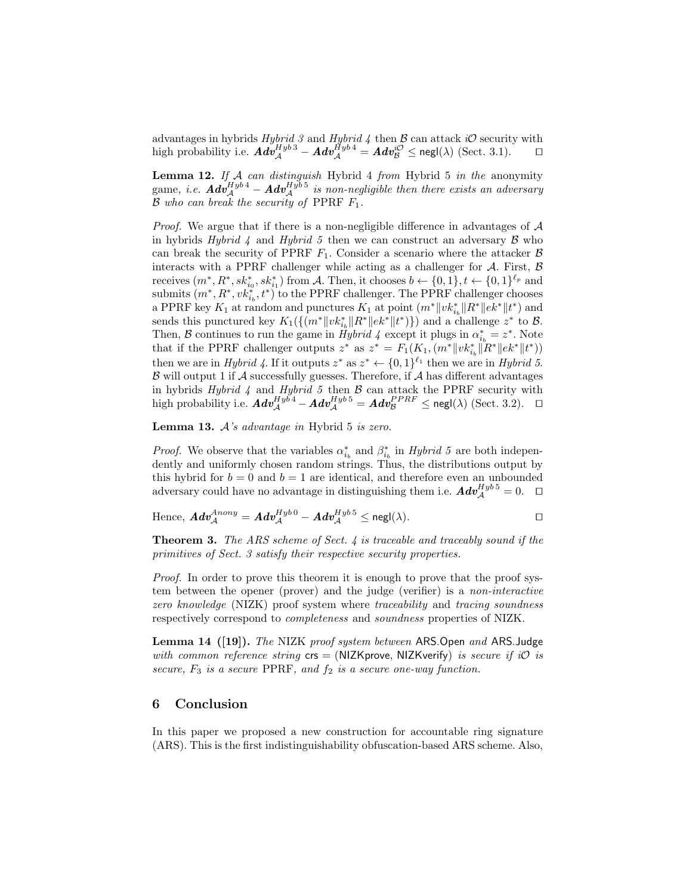advantages in hybrids  $Hybrid 3$  and  $Hybrid 4$  then  $\beta$  can attack iO security with high probability i.e.  $\boldsymbol{Adv}_{\mathcal{A}}^{Hyb\,3} - \boldsymbol{Adv}_{\mathcal{A}}^{Hyb\,4} = \boldsymbol{Adv}_{\mathcal{B}}^{i\mathcal{O}} \le \mathsf{negl}(\lambda) \text{ (Sect. 3.1)}. \qquad \Box$ 

**Lemma 12.** If  $A$  can distinguish Hybrid 4 from Hybrid 5 in the anonymity game, i.e.  $\boldsymbol{Adv}_{\mathcal{A}}^{Hyb\,4} - \boldsymbol{Adv}_{\mathcal{A}}^{Hyb\,5}$  is non-negligible then there exists an adversary  $\mathcal B$  who can break the security of PPRF  $F_1$ .

*Proof.* We argue that if there is a non-negligible difference in advantages of  $\mathcal A$ in hybrids Hybrid 4 and Hybrid 5 then we can construct an adversary  $\beta$  who can break the security of PPRF  $F_1$ . Consider a scenario where the attacker  $\beta$ interacts with a PPRF challenger while acting as a challenger for  $A$ . First,  $B$ receives  $(m^*, R^*, sk_{i_0}^*, sk_{i_1}^*)$  from A. Then, it chooses  $b \leftarrow \{0,1\}, t \leftarrow \{0,1\}^{\ell_p}$  and submits  $(m^*, R^*, v k_{i_b}^*, t^*)$  to the PPRF challenger. The PPRF challenger chooses a PPRF key  $K_1$  at random and punctures  $K_1$  at point  $(m^*||vk_{i_b}^*||R^*||ek^*||t^*)$  and sends this punctured key  $K_1(\{(m^*||vk_{i_b}^*||R^*||ek^*||t^*)\})$  and a challenge  $z^*$  to  $\mathcal{B}$ . Then, B continues to run the game in  $\tilde{Hybrid} \nvert 4$  except it plugs in  $\alpha_{i_b}^* = z^*$ . Note that if the PPRF challenger outputs  $z^*$  as  $z^* = F_1(K_1, (m^* \| v k_{i_b}^* \| \tilde{R}^* \| e k^* \| t^*))$ then we are in Hybrid 4. If it outputs  $z^*$  as  $z^* \leftarrow \{0,1\}^{\ell_1}$  then we are in Hybrid 5.  $\beta$  will output 1 if  $\mathcal A$  successfully guesses. Therefore, if  $\mathcal A$  has different advantages in hybrids Hybrid 4 and Hybrid 5 then  $\beta$  can attack the PPRF security with high probability i.e.  $\boldsymbol{Adv}_{\mathcal{A}}^{Hyb4} - \boldsymbol{Adv}_{\mathcal{A}}^{Hyb5} = \boldsymbol{Adv}_{\mathcal{B}}^{PPRF} \le \mathsf{negl}(\lambda) \text{ (Sect. 3.2).}$ 

**Lemma 13.**  $A$ 's advantage in Hybrid  $5$  is zero.

*Proof.* We observe that the variables  $\alpha_{i_b}^*$  and  $\beta_{i_b}^*$  in *Hybrid 5* are both independently and uniformly chosen random strings. Thus, the distributions output by this hybrid for  $b = 0$  and  $b = 1$  are identical, and therefore even an unbounded adversary could have no advantage in distinguishing them i.e.  $\boldsymbol{Adv}_{\mathcal{A}}^{Hyb\,5} = 0$ .  $\Box$ 

Hence, 
$$
\mathbf{Adv}_{\mathcal{A}}^{Anony} = \mathbf{Adv}_{\mathcal{A}}^{Hyb\,0} - \mathbf{Adv}_{\mathcal{A}}^{Hyb\,5} \le \mathsf{negl}(\lambda).
$$

**Theorem 3.** The ARS scheme of Sect.  $\ddot{A}$  is traceable and traceably sound if the primitives of Sect. 3 satisfy their respective security properties.

Proof. In order to prove this theorem it is enough to prove that the proof system between the opener (prover) and the judge (verifier) is a non-interactive zero knowledge (NIZK) proof system where traceability and tracing soundness respectively correspond to completeness and soundness properties of NIZK.

Lemma 14 ([19]). The NIZK proof system between ARS.Open and ARS.Judge with common reference string  $\text{crs} = (\text{NIZKprove}, \text{NIZKverify})$  is secure if iO is secure,  $F_3$  is a secure PPRF, and  $f_2$  is a secure one-way function.

## 6 Conclusion

In this paper we proposed a new construction for accountable ring signature (ARS). This is the first indistinguishability obfuscation-based ARS scheme. Also,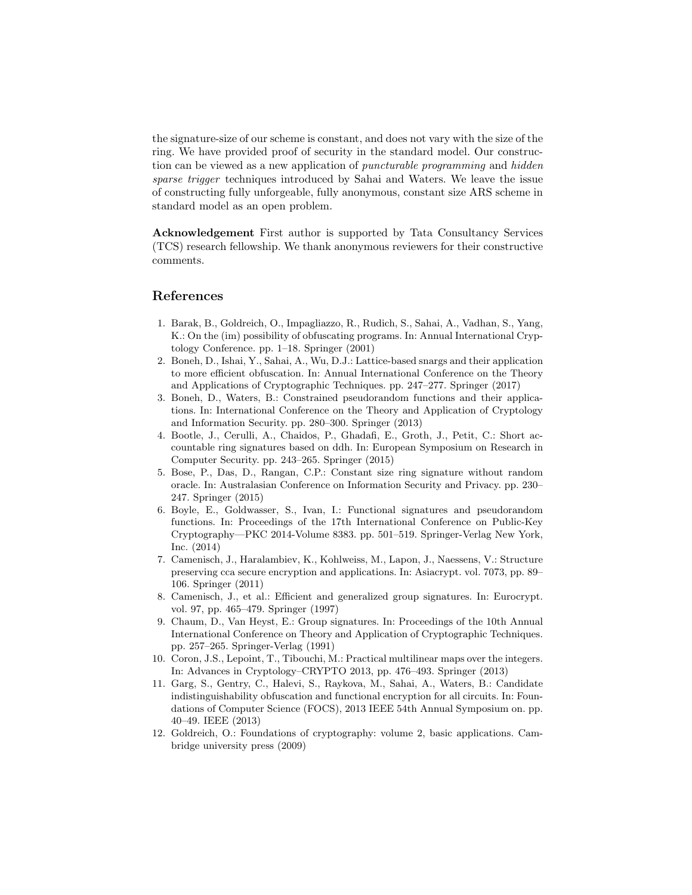the signature-size of our scheme is constant, and does not vary with the size of the ring. We have provided proof of security in the standard model. Our construction can be viewed as a new application of puncturable programming and hidden sparse trigger techniques introduced by Sahai and Waters. We leave the issue of constructing fully unforgeable, fully anonymous, constant size ARS scheme in standard model as an open problem.

Acknowledgement First author is supported by Tata Consultancy Services (TCS) research fellowship. We thank anonymous reviewers for their constructive comments.

## References

- 1. Barak, B., Goldreich, O., Impagliazzo, R., Rudich, S., Sahai, A., Vadhan, S., Yang, K.: On the (im) possibility of obfuscating programs. In: Annual International Cryptology Conference. pp. 1–18. Springer (2001)
- 2. Boneh, D., Ishai, Y., Sahai, A., Wu, D.J.: Lattice-based snargs and their application to more efficient obfuscation. In: Annual International Conference on the Theory and Applications of Cryptographic Techniques. pp. 247–277. Springer (2017)
- 3. Boneh, D., Waters, B.: Constrained pseudorandom functions and their applications. In: International Conference on the Theory and Application of Cryptology and Information Security. pp. 280–300. Springer (2013)
- 4. Bootle, J., Cerulli, A., Chaidos, P., Ghadafi, E., Groth, J., Petit, C.: Short accountable ring signatures based on ddh. In: European Symposium on Research in Computer Security. pp. 243–265. Springer (2015)
- 5. Bose, P., Das, D., Rangan, C.P.: Constant size ring signature without random oracle. In: Australasian Conference on Information Security and Privacy. pp. 230– 247. Springer (2015)
- 6. Boyle, E., Goldwasser, S., Ivan, I.: Functional signatures and pseudorandom functions. In: Proceedings of the 17th International Conference on Public-Key Cryptography—PKC 2014-Volume 8383. pp. 501–519. Springer-Verlag New York, Inc. (2014)
- 7. Camenisch, J., Haralambiev, K., Kohlweiss, M., Lapon, J., Naessens, V.: Structure preserving cca secure encryption and applications. In: Asiacrypt. vol. 7073, pp. 89– 106. Springer (2011)
- 8. Camenisch, J., et al.: Efficient and generalized group signatures. In: Eurocrypt. vol. 97, pp. 465–479. Springer (1997)
- 9. Chaum, D., Van Heyst, E.: Group signatures. In: Proceedings of the 10th Annual International Conference on Theory and Application of Cryptographic Techniques. pp. 257–265. Springer-Verlag (1991)
- 10. Coron, J.S., Lepoint, T., Tibouchi, M.: Practical multilinear maps over the integers. In: Advances in Cryptology–CRYPTO 2013, pp. 476–493. Springer (2013)
- 11. Garg, S., Gentry, C., Halevi, S., Raykova, M., Sahai, A., Waters, B.: Candidate indistinguishability obfuscation and functional encryption for all circuits. In: Foundations of Computer Science (FOCS), 2013 IEEE 54th Annual Symposium on. pp. 40–49. IEEE (2013)
- 12. Goldreich, O.: Foundations of cryptography: volume 2, basic applications. Cambridge university press (2009)